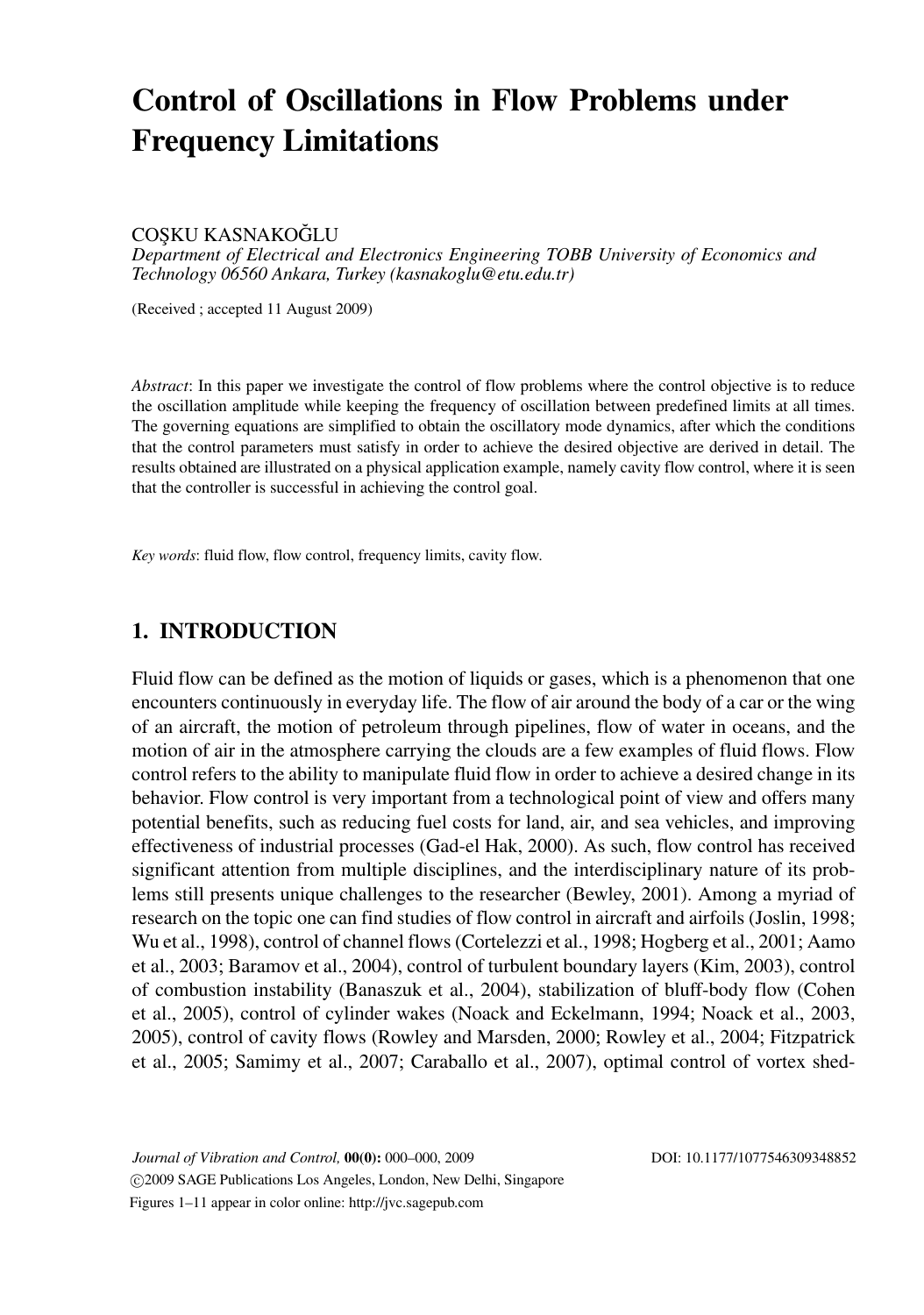# **Control of Oscillations in Flow Problems under Frequency Limitations**

# COŞKU KASNAKOĞLU

*Department of Electrical and Electronics Engineering TOBB University of Economics and Technology 06560 Ankara, Turkey (kasnakoglu@etu.edu.tr)*

(Received : accepted 11 August 2009)

*Abstract*: In this paper we investigate the control of flow problems where the control objective is to reduce the oscillation amplitude while keeping the frequency of oscillation between predefined limits at all times. The governing equations are simplified to obtain the oscillatory mode dynamics, after which the conditions that the control parameters must satisfy in order to achieve the desired objective are derived in detail. The results obtained are illustrated on a physical application example, namely cavity flow control, where it is seen that the controller is successful in achieving the control goal.

*Key words*: fluid flow, flow control, frequency limits, cavity flow.

### **1. INTRODUCTION**

Fluid flow can be defined as the motion of liquids or gases, which is a phenomenon that one encounters continuously in everyday life. The flow of air around the body of a car or the wing of an aircraft, the motion of petroleum through pipelines, flow of water in oceans, and the motion of air in the atmosphere carrying the clouds are a few examples of fluid flows. Flow control refers to the ability to manipulate fluid flow in order to achieve a desired change in its behavior. Flow control is very important from a technological point of view and offers many potential benefits, such as reducing fuel costs for land, air, and sea vehicles, and improving effectiveness of industrial processes (Gad-el Hak, 2000). As such, flow control has received significant attention from multiple disciplines, and the interdisciplinary nature of its problems still presents unique challenges to the researcher (Bewley, 2001). Among a myriad of research on the topic one can find studies of flow control in aircraft and airfoils (Joslin, 1998; Wu et al., 1998), control of channel flows (Cortelezzi et al., 1998; Hogberg et al., 2001; Aamo et al., 2003; Baramov et al., 2004), control of turbulent boundary layers (Kim, 2003), control of combustion instability (Banaszuk et al., 2004), stabilization of bluff-body flow (Cohen et al., 2005), control of cylinder wakes (Noack and Eckelmann, 1994; Noack et al., 2003, 2005), control of cavity flows (Rowley and Marsden, 2000; Rowley et al., 2004; Fitzpatrick et al., 2005; Samimy et al., 2007; Caraballo et al., 2007), optimal control of vortex shed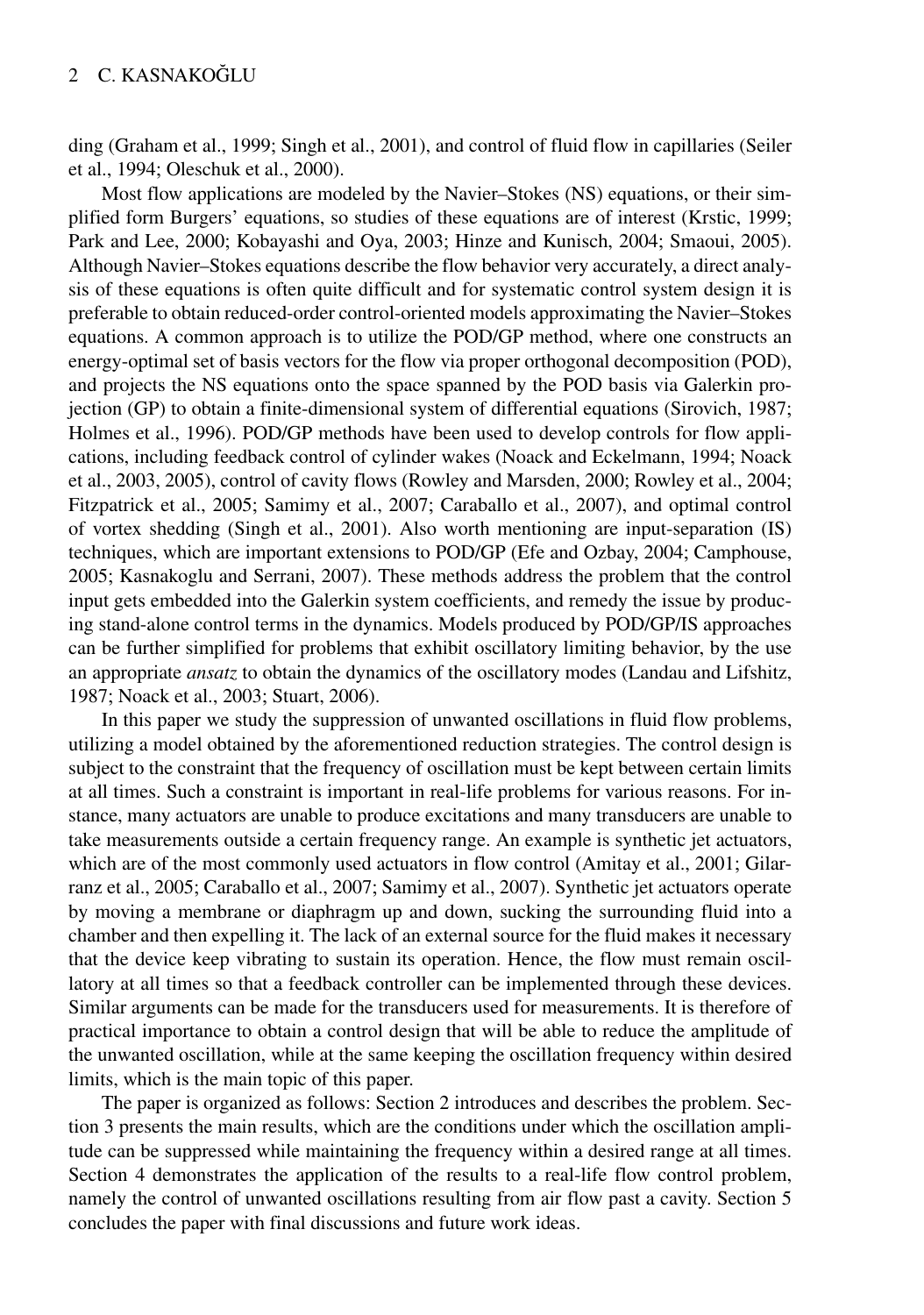ding (Graham et al., 1999; Singh et al., 2001), and control of fluid flow in capillaries (Seiler et al., 1994; Oleschuk et al., 2000).

Most flow applications are modeled by the Navier–Stokes (NS) equations, or their simplified form Burgers' equations, so studies of these equations are of interest (Krstic, 1999 Park and Lee, 2000; Kobayashi and Oya, 2003; Hinze and Kunisch, 2004; Smaoui, 2005). Although Navier–Stokes equations describe the flow behavior very accurately, a direct analysis of these equations is often quite difficult and for systematic control system design it is preferable to obtain reduced-order control-oriented models approximating the Navier–Stokes equations. A common approach is to utilize the POD/GP method, where one constructs an energy-optimal set of basis vectors for the flow via proper orthogonal decomposition (POD), and projects the NS equations onto the space spanned by the POD basis via Galerkin projection (GP) to obtain a finite-dimensional system of differential equations (Sirovich, 1987 Holmes et al., 1996). POD/GP methods have been used to develop controls for flow applications, including feedback control of cylinder wakes (Noack and Eckelmann, 1994; Noack et al., 2003, 2005), control of cavity flows (Rowley and Marsden, 2000; Rowley et al., 2004; Fitzpatrick et al., 2005; Samimy et al., 2007; Caraballo et al., 2007), and optimal control of vortex shedding (Singh et al., 2001). Also worth mentioning are input-separation (IS) techniques, which are important extensions to POD/GP (Efe and Ozbay, 2004; Camphouse, 2005 Kasnakoglu and Serrani, 2007). These methods address the problem that the control input gets embedded into the Galerkin system coefficients, and remedy the issue by producing stand-alone control terms in the dynamics. Models produced by POD/GP/IS approaches can be further simplified for problems that exhibit oscillatory limiting behavior, by the use an appropriate *ansatz* to obtain the dynamics of the oscillatory modes (Landau and Lifshitz, 1987; Noack et al., 2003; Stuart, 2006).

In this paper we study the suppression of unwanted oscillations in fluid flow problems, utilizing a model obtained by the aforementioned reduction strategies. The control design is subject to the constraint that the frequency of oscillation must be kept between certain limits at all times. Such a constraint is important in real-life problems for various reasons. For instance, many actuators are unable to produce excitations and many transducers are unable to take measurements outside a certain frequency range. An example is synthetic jet actuators, which are of the most commonly used actuators in flow control (Amitay et al., 2001; Gilarranz et al., 2005; Caraballo et al., 2007; Samimy et al., 2007). Synthetic jet actuators operate by moving a membrane or diaphragm up and down, sucking the surrounding fluid into a chamber and then expelling it. The lack of an external source for the fluid makes it necessary that the device keep vibrating to sustain its operation. Hence, the flow must remain oscillatory at all times so that a feedback controller can be implemented through these devices. Similar arguments can be made for the transducers used for measurements. It is therefore of practical importance to obtain a control design that will be able to reduce the amplitude of the unwanted oscillation, while at the same keeping the oscillation frequency within desired limits, which is the main topic of this paper.

The paper is organized as follows: Section 2 introduces and describes the problem. Section 3 presents the main results, which are the conditions under which the oscillation amplitude can be suppressed while maintaining the frequency within a desired range at all times. Section 4 demonstrates the application of the results to a real-life flow control problem, namely the control of unwanted oscillations resulting from air flow past a cavity. Section 5 concludes the paper with final discussions and future work ideas.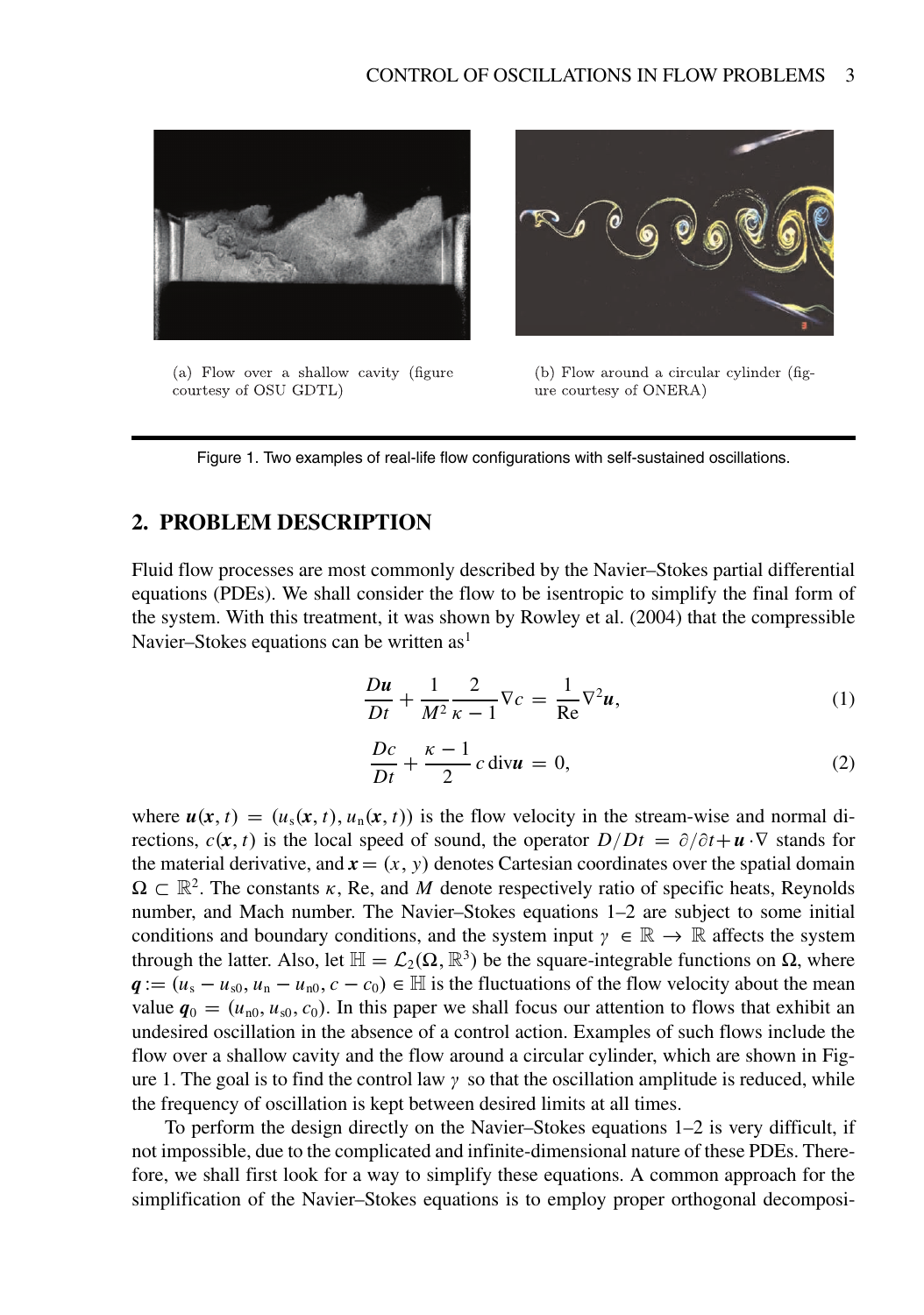

(a) Flow over a shallow cavity (figure courtesy of OSU GDTL)

(b) Flow around a circular cylinder (figure courtesy of ONERA)

Figure 1. Two examples of real-life flow configurations with self-sustained oscillations.

### **2. PROBLEM DESCRIPTION**

Fluid flow processes are most commonly described by the Navier–Stokes partial differential equations (PDEs). We shall consider the flow to be isentropic to simplify the final form of the system. With this treatment, it was shown by Rowley et al. (2004) that the compressible Navier–Stokes equations can be written  $as<sup>1</sup>$ 

$$
\frac{Du}{Dt} + \frac{1}{M^2} \frac{2}{\kappa - 1} \nabla c = \frac{1}{\text{Re}} \nabla^2 u,
$$
\n(1)

$$
\frac{Dc}{Dt} + \frac{\kappa - 1}{2}c \operatorname{div} u = 0, \tag{2}
$$

where  $u(x, t) = (u_s(x, t), u_n(x, t))$  is the flow velocity in the stream-wise and normal directions,  $c(\mathbf{x}, t)$  is the local speed of sound, the operator  $D/Dt = \partial/\partial t + \mathbf{u} \cdot \nabla$  stands for the material derivative, and  $\mathbf{x} = (x, y)$  denotes Cartesian coordinates over the spatial domain  $\Omega \subset \mathbb{R}^2$ . The constants  $\kappa$ , Re, and *M* denote respectively ratio of specific heats, Reynolds number, and Mach number. The Navier–Stokes equations 1–2 are subject to some initial conditions and boundary conditions, and the system input  $\gamma \in \mathbb{R} \to \mathbb{R}$  affects the system through the latter. Also, let  $\mathbb{H} = \mathcal{L}_2(\Omega, \mathbb{R}^3)$  be the square-integrable functions on  $\Omega$ , where  $q := (u_s - u_{s0}, u_n - u_{n0}, c - c_0) \in \mathbb{H}$  is the fluctuations of the flow velocity about the mean value  $q_0 = (u_{n0}, u_{s0}, c_0)$ . In this paper we shall focus our attention to flows that exhibit an undesired oscillation in the absence of a control action. Examples of such flows include the flow over a shallow cavity and the flow around a circular cylinder, which are shown in Figure 1. The goal is to find the control law  $\gamma$  so that the oscillation amplitude is reduced, while the frequency of oscillation is kept between desired limits at all times.

To perform the design directly on the Navier–Stokes equations 1–2 is very difficult, if not impossible, due to the complicated and infinite-dimensional nature of these PDEs. Therefore, we shall first look for a way to simplify these equations. A common approach for the simplification of the Navier–Stokes equations is to employ proper orthogonal decomposi-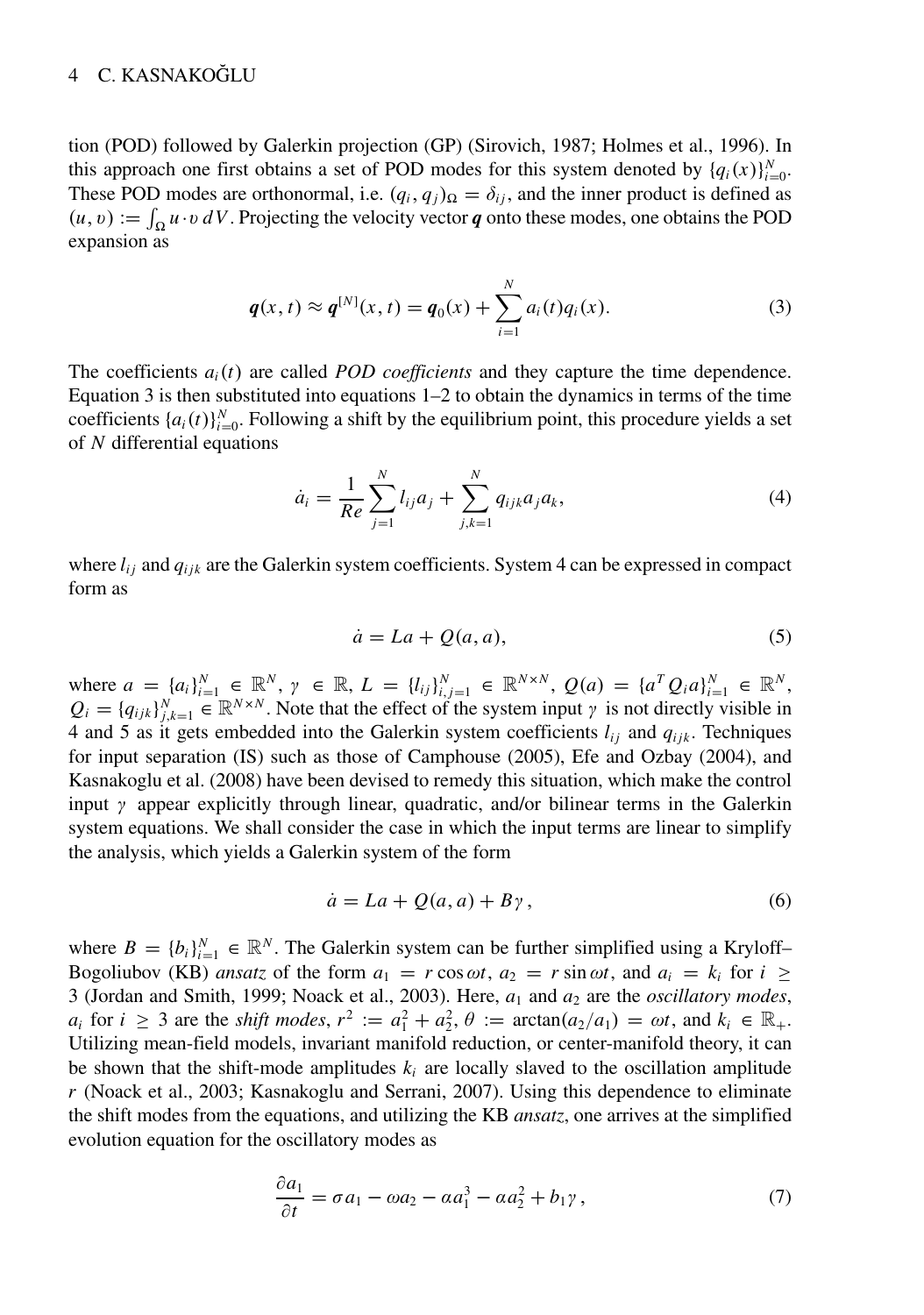# 4 C. KASNAKOĞLU

tion (POD) followed by Galerkin projection (GP) (Sirovich, 1987; Holmes et al., 1996). In this approach one first obtains a set of POD modes for this system denoted by  $\{q_i(x)\}_{i=0}^N$ . These POD modes are orthonormal, i.e.  $(q_i, q_j)$ <sub> $\Omega$ </sub> =  $\delta_{ij}$ , and the inner product is defined as These POL<br> $(u, v) := \int$  $\int_{\Omega} u \cdot v \, dV$ . Projecting the velocity vector *q* onto these modes, one obtains the POD expansion as

$$
\boldsymbol{q}(x,t) \approx \boldsymbol{q}^{[N]}(x,t) = \boldsymbol{q}_0(x) + \sum_{i=1}^{N} a_i(t) q_i(x). \tag{3}
$$

The coefficients  $a_i(t)$  are called *POD coefficients* and they capture the time dependence. Equation 3 is then substituted into equations  $1-2$  to obtain the dynamics in terms of the time coefficients  $\{a_i(t)\}_{i=0}^N$ . Following a shift by the equilibrium point, this procedure yields a set of *N* differential equations

$$
\dot{a}_i = \frac{1}{Re} \sum_{j=1}^{N} l_{ij} a_j + \sum_{j,k=1}^{N} q_{ijk} a_j a_k,
$$
\n(4)

where  $l_{ij}$  and  $q_{ijk}$  are the Galerkin system coefficients. System 4 can be expressed in compact form as

$$
\dot{a} = La + Q(a, a),\tag{5}
$$

where  $a = [a_i]_{i=1}^N \in \mathbb{R}^N$ ,  $\gamma \in \mathbb{R}$ ,  $L = \{l_{ij}\}_{i,j=1}^N \in \mathbb{R}^{N \times N}$ ,  $Q(a) = \{a^T Q_i a\}_{i=1}^N \in \mathbb{R}^N$ ,  $Q_i = \{q_{ijk}\}_{j,k=1}^N \in \mathbb{R}^{N \times N}$ . Note that the effect of the system input  $\gamma$  is not directly visible in 4 and 5 as it gets embedded into the Galerkin system coefficients  $l_{ij}$  and  $q_{ijk}$ . Techniques for input separation (IS) such as those of Camphouse (2005), Efe and Ozbay (2004), and Kasnakoglu et al. (2008) have been devised to remedy this situation, which make the control input  $\gamma$  appear explicitly through linear, quadratic, and/or bilinear terms in the Galerkin system equations. We shall consider the case in which the input terms are linear to simplify the analysis, which yields a Galerkin system of the form

$$
\dot{a} = La + Q(a, a) + B\gamma, \tag{6}
$$

where  $B = \{b_i\}_{i=1}^N \in \mathbb{R}^N$ . The Galerkin system can be further simplified using a Kryloff-Bogoliubov (KB) *ansatz* of the form  $a_1 = r \cos \omega t$ ,  $a_2 = r \sin \omega t$ , and  $a_i = k_i$  for  $i \ge$ 3 (Jordan and Smith, 1999 Noack et al., 2003). Here, *a*<sup>1</sup> and *a*<sup>2</sup> are the *oscillatory modes*, *a<sub>i</sub>* for  $i \ge 3$  are the *shift modes*,  $r^2 := a_1^2 + a_2^2$ ,  $\theta := \arctan(a_2/a_1) = \omega t$ , and  $k_i \in \mathbb{R}_+$ . Utilizing mean-field models, invariant manifold reduction, or center-manifold theory, it can be shown that the shift-mode amplitudes  $k_i$  are locally slaved to the oscillation amplitude *r* (Noack et al., 2003; Kasnakoglu and Serrani, 2007). Using this dependence to eliminate the shift modes from the equations, and utilizing the KB *ansatz*, one arrives at the simplified evolution equation for the oscillatory modes as

$$
\frac{\partial a_1}{\partial t} = \sigma a_1 - \omega a_2 - \alpha a_1^3 - \alpha a_2^2 + b_1 \gamma, \qquad (7)
$$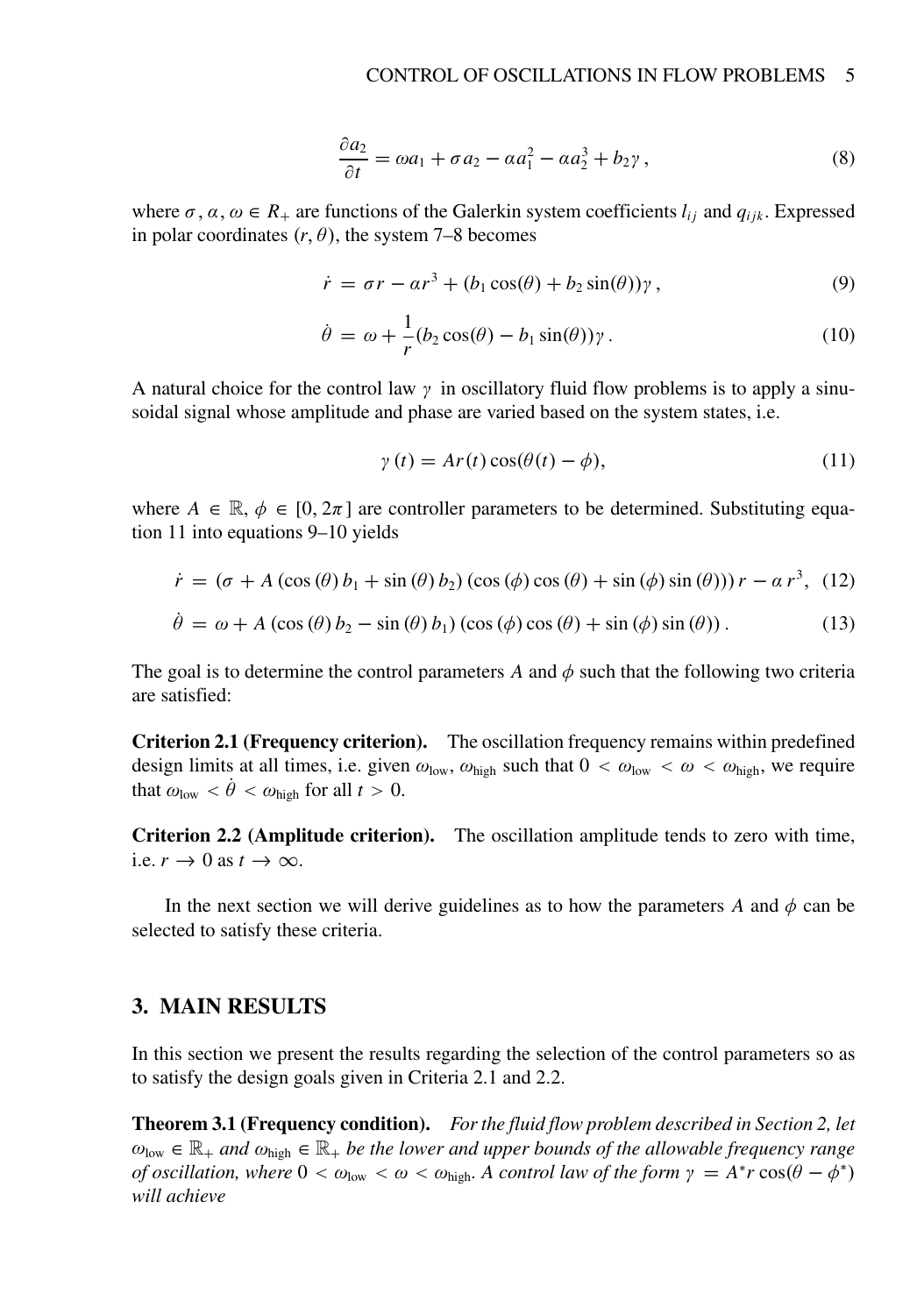$$
\frac{\partial a_2}{\partial t} = \omega a_1 + \sigma a_2 - \alpha a_1^2 - \alpha a_2^3 + b_2 \gamma, \qquad (8)
$$

where  $\sigma$ ,  $\alpha$ ,  $\omega \in R_+$  are functions of the Galerkin system coefficients  $l_{ij}$  and  $q_{ijk}$ . Expressed in polar coordinates  $(r, \theta)$ , the system 7–8 becomes

$$
\dot{r} = \sigma r - ar^3 + (b_1 \cos(\theta) + b_2 \sin(\theta)) \gamma, \qquad (9)
$$

$$
\dot{\theta} = \omega + \frac{1}{r} (b_2 \cos(\theta) - b_1 \sin(\theta)) \gamma.
$$
 (10)

A natural choice for the control law  $\gamma$  in oscillatory fluid flow problems is to apply a sinusoidal signal whose amplitude and phase are varied based on the system states, i.e.

$$
\gamma(t) = Ar(t)\cos(\theta(t) - \phi),\tag{11}
$$

where  $A \in \mathbb{R}, \phi \in [0, 2\pi]$  are controller parameters to be determined. Substituting equation 11 into equations 9–10 yields

$$
\dot{r} = (\sigma + A(\cos(\theta) b_1 + \sin(\theta) b_2) (\cos(\phi) \cos(\theta) + \sin(\phi) \sin(\theta))) r - \alpha r^3, (12)
$$

$$
\dot{\theta} = \omega + A \left( \cos \left( \theta \right) b_2 - \sin \left( \theta \right) b_1 \right) \left( \cos \left( \phi \right) \cos \left( \theta \right) + \sin \left( \phi \right) \sin \left( \theta \right) \right). \tag{13}
$$

The goal is to determine the control parameters  $A$  and  $\phi$  such that the following two criteria are satisfied:

**Criterion 2.1 (Frequency criterion).** The oscillation frequency remains within predefined design limits at all times, i.e. given  $\omega_{low}$ ,  $\omega_{high}$  such that  $0 < \omega_{low} < \omega < \omega_{high}$ , we require that  $\omega_{\text{low}} < \dot{\theta} < \omega_{\text{high}}$  for all  $t > 0$ .

**Criterion 2.2 (Amplitude criterion).** The oscillation amplitude tends to zero with time, i.e.  $r \to 0$  as  $t \to \infty$ .

In the next section we will derive guidelines as to how the parameters *A* and  $\phi$  can be selected to satisfy these criteria.

### **3. MAIN RESULTS**

In this section we present the results regarding the selection of the control parameters so as to satisfy the design goals given in Criteria 2.1 and 2.2.

**Theorem 3.1 (Frequency condition).** *For the fluid flow problem described in Section 2, let*  $\omega_{\text{low}} \in \mathbb{R}_+$  and  $\omega_{\text{high}} \in \mathbb{R}_+$  be the lower and upper bounds of the allowable frequency range *of oscillation, where*  $0 < \omega_{\text{low}} < \omega < \omega_{\text{high}}$ . A control law of the form  $\gamma = A^*r \cos(\theta - \phi^*)$ *will achieve*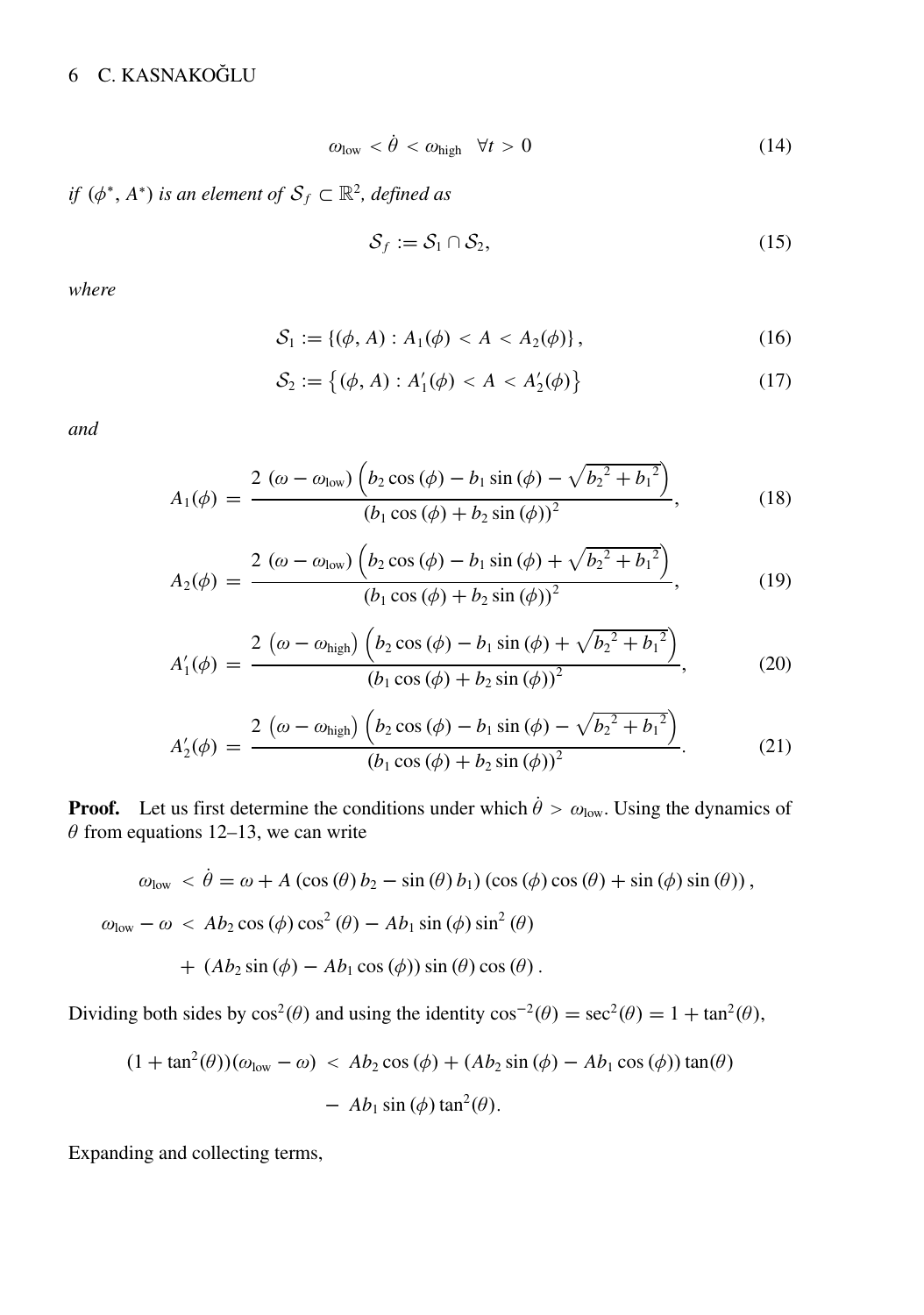$$
\omega_{\text{low}} < \dot{\theta} < \omega_{\text{high}} \quad \forall t > 0 \tag{14}
$$

*if*  $(\phi^*, A^*)$  is an element of  $S_f \subset \mathbb{R}^2$ , defined as

$$
\mathcal{S}_f := \mathcal{S}_1 \cap \mathcal{S}_2,\tag{15}
$$

*where*

$$
S_1 := \{ (\phi, A) : A_1(\phi) < A < A_2(\phi) \},\tag{16}
$$

$$
S_2 := \{ (\phi, A) : A'_1(\phi) < A < A'_2(\phi) \} \tag{17}
$$

*and*

$$
A_1(\phi) = \frac{2(\omega - \omega_{\text{low}}) (b_2 \cos(\phi) - b_1 \sin(\phi) - \sqrt{b_2^2 + b_1^2})}{(b_1 \cos(\phi) + b_2 \sin(\phi))^2},
$$
(18)

$$
A_2(\phi) = \frac{2(\omega - \omega_{\text{low}}) (b_2 \cos(\phi) - b_1 \sin(\phi) + \sqrt{b_2^2 + b_1^2})}{(b_1 \cos(\phi) + b_2 \sin(\phi))^2},
$$
(19)

$$
A'_{1}(\phi) = \frac{2(\omega - \omega_{\text{high}}) (b_{2} \cos(\phi) - b_{1} \sin(\phi) + \sqrt{b_{2}^{2} + b_{1}^{2}})}{(b_{1} \cos(\phi) + b_{2} \sin(\phi))^{2}},
$$
 (20)

$$
A'_{2}(\phi) = \frac{2(\omega - \omega_{\text{high}}) (b_{2} \cos(\phi) - b_{1} \sin(\phi) - \sqrt{b_{2}^{2} + b_{1}^{2}})}{(b_{1} \cos(\phi) + b_{2} \sin(\phi))^{2}}.
$$
 (21)

**Proof.** Let us first determine the conditions under which  $\dot{\theta} > \omega_{\text{low}}$ . Using the dynamics of  $\theta$  from equations 12–13, we can write

$$
\omega_{\text{low}} < \dot{\theta} = \omega + A \left( \cos \left( \theta \right) b_2 - \sin \left( \theta \right) b_1 \right) \left( \cos \left( \phi \right) \cos \left( \theta \right) + \sin \left( \phi \right) \sin \left( \theta \right) \right),
$$
\n
$$
\omega_{\text{low}} - \omega < A b_2 \cos \left( \phi \right) \cos^2 \left( \theta \right) - A b_1 \sin \left( \phi \right) \sin^2 \left( \theta \right)
$$
\n
$$
+ \left( A b_2 \sin \left( \phi \right) - A b_1 \cos \left( \phi \right) \right) \sin \left( \theta \right) \cos \left( \theta \right).
$$

Dividing both sides by  $\cos^2(\theta)$  and using the identity  $\cos^{-2}(\theta) = \sec^2(\theta) = 1 + \tan^2(\theta)$ ,

$$
(1 + \tan^2(\theta))(\omega_{low} - \omega) < Ab_2 \cos(\phi) + (Ab_2 \sin(\phi) - Ab_1 \cos(\phi)) \tan(\theta) \\
\qquad \qquad - Ab_1 \sin(\phi) \tan^2(\theta).
$$

Expanding and collecting terms,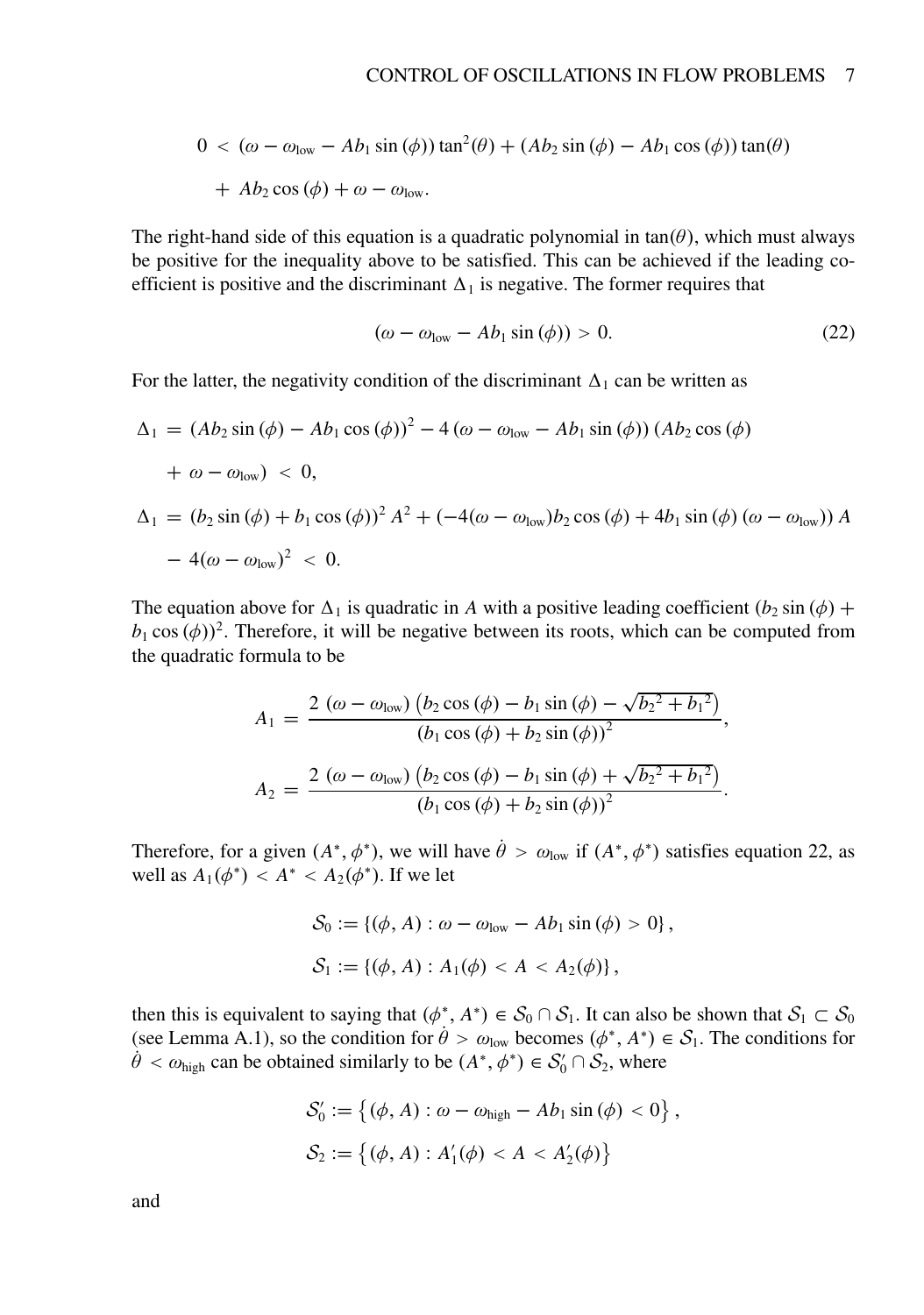$$
0 < (\omega - \omega_{\text{low}} - Ab_1 \sin(\phi)) \tan^2(\theta) + (Ab_2 \sin(\phi) - Ab_1 \cos(\phi)) \tan(\theta) + Ab_2 \cos(\phi) + \omega - \omega_{\text{low}}.
$$

The right-hand side of this equation is a quadratic polynomial in  $tan(\theta)$ , which must always be positive for the inequality above to be satisfied. This can be achieved if the leading coefficient is positive and the discriminant  $\Delta_1$  is negative. The former requires that

$$
(\omega - \omega_{\text{low}} - Ab_1 \sin(\phi)) > 0. \tag{22}
$$

For the latter, the negativity condition of the discriminant  $\Delta_1$  can be written as

$$
\Delta_1 = (Ab_2 \sin (\phi) - Ab_1 \cos (\phi))^2 - 4 (\omega - \omega_{low} - Ab_1 \sin (\phi)) (Ab_2 \cos (\phi) \n+ \omega - \omega_{low}) < 0,\n\Delta_1 = (b_2 \sin (\phi) + b_1 \cos (\phi))^2 A^2 + (-4(\omega - \omega_{low})b_2 \cos (\phi) + 4b_1 \sin (\phi) (\omega - \omega_{low})) A \n- 4(\omega - \omega_{low})^2 < 0.
$$

The equation above for  $\Delta_1$  is quadratic in *A* with a positive leading coefficient  $(b_2 \sin (\phi) + b_1 \sin (\phi))$  $b_1 \cos{(\phi)}^2$ . Therefore, it will be negative between its roots, which can be computed from the quadratic formula to be

$$
A_1 = \frac{2 (\omega - \omega_{\text{low}}) (b_2 \cos(\phi) - b_1 \sin(\phi) - \sqrt{b_2^2 + b_1^2})}{(b_1 \cos(\phi) + b_2 \sin(\phi))^2},
$$
  

$$
A_2 = \frac{2 (\omega - \omega_{\text{low}}) (b_2 \cos(\phi) - b_1 \sin(\phi) + \sqrt{b_2^2 + b_1^2})}{(b_1 \cos(\phi) + b_2 \sin(\phi))^2}.
$$

Therefore, for a given  $(A^*, \phi^*)$ , we will have  $\dot{\theta} > \omega_{\text{low}}$  if  $(A^*, \phi^*)$  satisfies equation 22, as well as  $A_1(\phi^*) < A^* < A_2(\phi^*)$ . If we let

$$
S_0 := \{ (\phi, A) : \omega - \omega_{\text{low}} - Ab_1 \sin(\phi) > 0 \},
$$
  

$$
S_1 := \{ (\phi, A) : A_1(\phi) < A < A_2(\phi) \},
$$

then this is equivalent to saying that  $(\phi^*, A^*) \in S_0 \cap S_1$ . It can also be shown that  $S_1 \subset S_0$ (see Lemma A.1), so the condition for  $\theta > \omega_{\text{low}}$  becomes  $(\phi^*, A^*) \in S_1$ . The conditions for  $\hat{\theta} < \omega_{\text{high}}$  can be obtained similarly to be  $(A^*, \phi^*) \in S'_0 \cap S_2$ , where

$$
S'_0 := \{ (\phi, A) : \omega - \omega_{\text{high}} - Ab_1 \sin(\phi) < 0 \},
$$
\n
$$
S_2 := \{ (\phi, A) : A'_1(\phi) < A < A'_2(\phi) \}
$$

and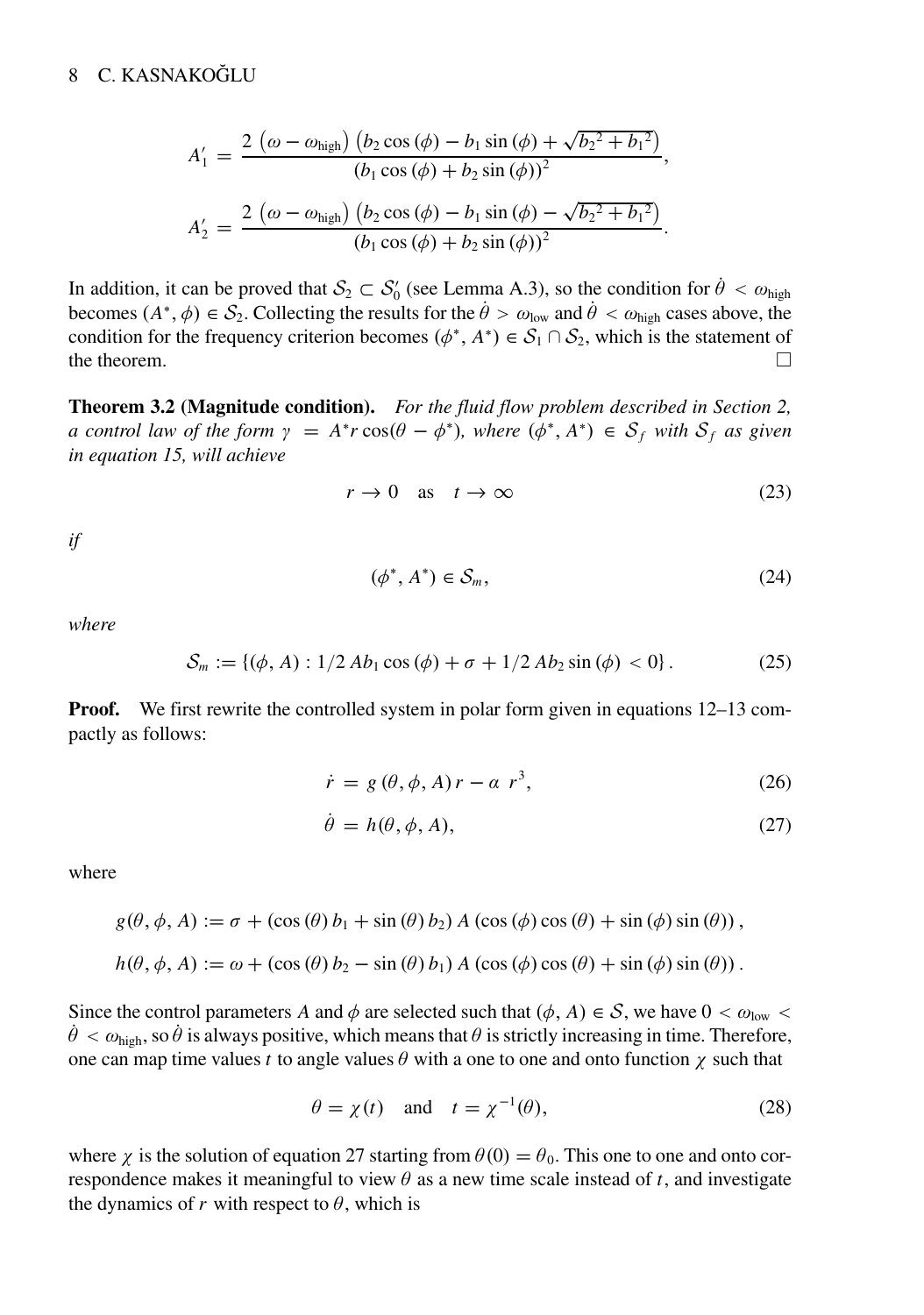# 8 C. KASNAKOĞLU

$$
A'_{1} = \frac{2(\omega - \omega_{\text{high}})(b_{2}\cos(\phi) - b_{1}\sin(\phi) + \sqrt{b_{2}^{2} + b_{1}^{2}})}{(b_{1}\cos(\phi) + b_{2}\sin(\phi))^{2}},
$$
  

$$
A'_{2} = \frac{2(\omega - \omega_{\text{high}})(b_{2}\cos(\phi) - b_{1}\sin(\phi) - \sqrt{b_{2}^{2} + b_{1}^{2}})}{(b_{1}\cos(\phi) + b_{2}\sin(\phi))^{2}}.
$$

In addition, it can be proved that  $S_2 \subset S'_0$  (see Lemma A.3), so the condition for  $\dot{\theta} < \omega_{\text{high}}$ becomes  $(A^*, \phi) \in S_2$ . Collecting the results for the  $\dot{\theta} > \omega_{\text{low}}$  and  $\dot{\theta} < \omega_{\text{high}}$  cases above, the condition for the frequency criterion becomes  $(\phi^*, A^*) \in S_1 \cap S_2$ , which is the statement of the theorem.  $\Box$ 

**Theorem 3.2 (Magnitude condition).** *For the fluid flow problem described in Section 2, a control law of the form*  $\gamma = A^*r \cos(\theta - \phi^*)$ , where  $(\phi^*, A^*) \in S_f$  with  $S_f$  as given *in equation 15, will achieve*

$$
r \to 0 \quad \text{as} \quad t \to \infty \tag{23}
$$

*if*

$$
(\phi^*, A^*) \in \mathcal{S}_m,\tag{24}
$$

*where*

$$
S_m := \{ (\phi, A) : 1/2 Ab_1 \cos(\phi) + \sigma + 1/2 Ab_2 \sin(\phi) < 0 \}. \tag{25}
$$

**Proof.** We first rewrite the controlled system in polar form given in equations 12–13 compactly as follows:

$$
\dot{r} = g(\theta, \phi, A)r - \alpha r^3, \qquad (26)
$$

$$
\dot{\theta} = h(\theta, \phi, A),\tag{27}
$$

where

$$
g(\theta, \phi, A) := \sigma + (\cos(\theta) b_1 + \sin(\theta) b_2) A (\cos(\phi) \cos(\theta) + \sin(\phi) \sin(\theta)),
$$
  

$$
h(\theta, \phi, A) := \omega + (\cos(\theta) b_2 - \sin(\theta) b_1) A (\cos(\phi) \cos(\theta) + \sin(\phi) \sin(\theta)).
$$

Since the control parameters A and  $\phi$  are selected such that  $(\phi, A) \in S$ , we have  $0 < \omega_{\text{low}} <$  $\dot{\theta} < \omega_{\text{high}}$ , so  $\dot{\theta}$  is always positive, which means that  $\theta$  is strictly increasing in time. Therefore, one can map time values *t* to angle values  $\theta$  with a one to one and onto function  $\chi$  such that

$$
\theta = \chi(t) \quad \text{and} \quad t = \chi^{-1}(\theta), \tag{28}
$$

where  $\chi$  is the solution of equation 27 starting from  $\theta(0) = \theta_0$ . This one to one and onto correspondence makes it meaningful to view  $\theta$  as a new time scale instead of  $t$ , and investigate the dynamics of *r* with respect to  $\theta$ , which is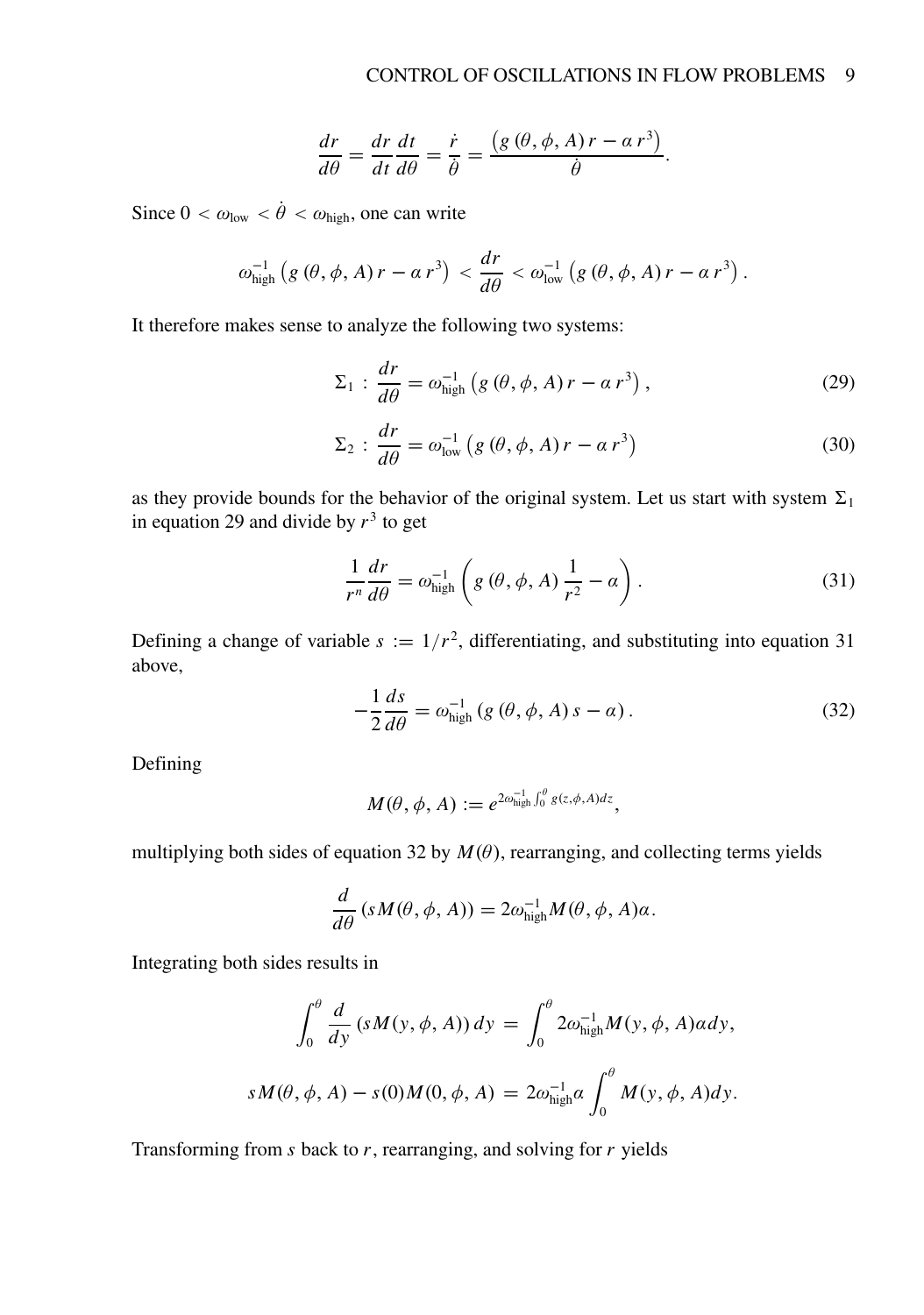$$
\frac{dr}{d\theta} = \frac{dr}{dt}\frac{dt}{d\theta} = \frac{\dot{r}}{\dot{\theta}} = \frac{\left(g\left(\theta, \phi, A\right)r - \alpha r^3\right)}{\dot{\theta}}.
$$

Since  $0 < \omega_{\text{low}} < \dot{\theta} < \omega_{\text{high}}$ , one can write

$$
\omega_{\text{high}}^{-1}\left(g\left(\theta,\phi,A\right)r-\alpha r^3\right) < \frac{dr}{d\theta} < \omega_{\text{low}}^{-1}\left(g\left(\theta,\phi,A\right)r-\alpha r^3\right).
$$

It therefore makes sense to analyze the following two systems:

$$
\Sigma_1 : \frac{dr}{d\theta} = \omega_{\text{high}}^{-1} \left( g \left( \theta, \phi, A \right) r - \alpha r^3 \right), \tag{29}
$$

$$
\Sigma_2 : \frac{dr}{d\theta} = \omega_{\text{low}}^{-1} \left( g \left( \theta, \phi, A \right) r - \alpha r^3 \right) \tag{30}
$$

as they provide bounds for the behavior of the original system. Let us start with system  $\Sigma_1$ in equation 29 and divide by  $r^3$  to get

$$
\frac{1}{r^n}\frac{dr}{d\theta} = \omega_{\text{high}}^{-1} \left( g\left(\theta, \phi, A\right) \frac{1}{r^2} - \alpha \right). \tag{31}
$$

Defining a change of variable  $s := 1/r^2$ , differentiating, and substituting into equation 31 above,

$$
-\frac{1}{2}\frac{ds}{d\theta} = \omega_{\text{high}}^{-1} (g(\theta, \phi, A)s - \alpha). \tag{32}
$$

Defining

$$
M(\theta, \phi, A) := e^{2\omega_{\text{high}}^{-1} \int_0^{\theta} g(z, \phi, A) dz},
$$

multiplying both sides of equation 32 by  $M(\theta)$ , rearranging, and collecting terms yields

$$
\frac{d}{d\theta} (sM(\theta, \phi, A)) = 2\omega_{\text{high}}^{-1} M(\theta, \phi, A)\alpha.
$$

Integrating both sides results in

$$
\int_0^\theta \frac{d}{dy} (sM(y, \phi, A)) dy = \int_0^\theta 2\omega_{\text{high}}^{-1} M(y, \phi, A) a dy,
$$
  

$$
sM(\theta, \phi, A) - s(0)M(0, \phi, A) = 2\omega_{\text{high}}^{-1} \alpha \int_0^\theta M(y, \phi, A) dy.
$$

Transforming from *s* back to *r*, rearranging, and solving for *r* yields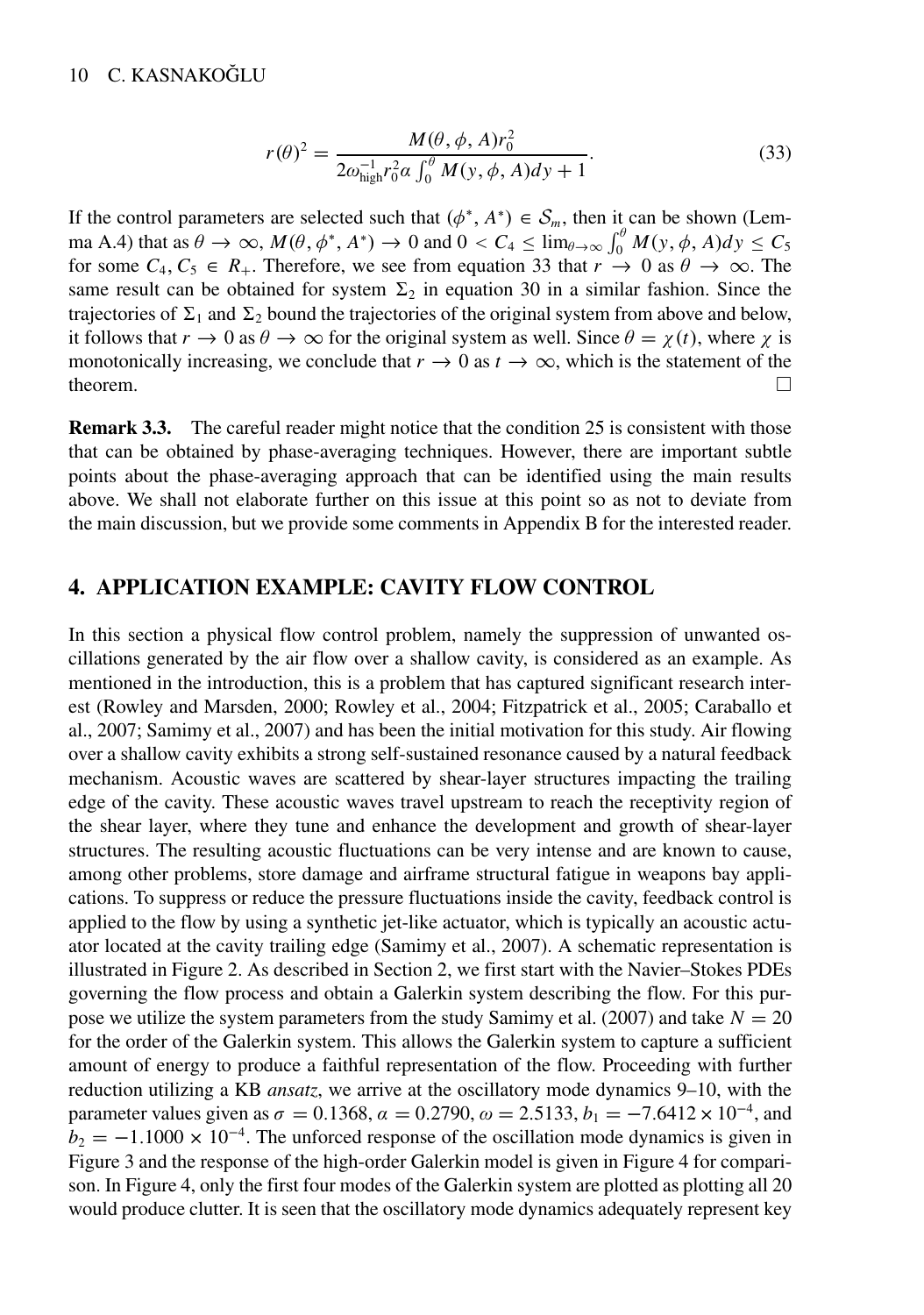$$
r(\theta)^2 = \frac{M(\theta, \phi, A)r_0^2}{2\omega_{\text{high}}^{-1}r_0^2 \alpha \int_0^{\theta} M(y, \phi, A)dy + 1}.
$$
 (33)

If the control parameters are selected such that  $(\phi^*, A^*) \in S_m$ , then it can be shown (Lem-If the control parameters are selected such that  $(\phi^*, A^*) \in S_m$ , then it can be shown (Lemma A.4) that as  $\theta \to \infty$ ,  $M(\theta, \phi^*, A^*) \to 0$  and  $0 < C_4 \le \lim_{\theta \to \infty} \int_0^{\theta} M(y, \phi, A) dy \le C_5$ for some  $C_4, C_5 \in R_+$ . Therefore, we see from equation 33 that  $r \to 0$  as  $\theta \to \infty$ . The same result can be obtained for system  $\Sigma_2$  in equation 30 in a similar fashion. Since the trajectories of  $\Sigma_1$  and  $\Sigma_2$  bound the trajectories of the original system from above and below, it follows that  $r \to 0$  as  $\theta \to \infty$  for the original system as well. Since  $\theta = \chi(t)$ , where  $\chi$  is monotonically increasing, we conclude that  $r \to 0$  as  $t \to \infty$ , which is the statement of the  $\Box$  theorem.

**Remark 3.3.** The careful reader might notice that the condition 25 is consistent with those that can be obtained by phase-averaging techniques. However, there are important subtle points about the phase-averaging approach that can be identified using the main results above. We shall not elaborate further on this issue at this point so as not to deviate from the main discussion, but we provide some comments in Appendix B for the interested reader.

#### **4. APPLICATION EXAMPLE: CAVITY FLOW CONTROL**

In this section a physical flow control problem, namely the suppression of unwanted oscillations generated by the air flow over a shallow cavity, is considered as an example. As mentioned in the introduction, this is a problem that has captured significant research interest (Rowley and Marsden, 2000; Rowley et al., 2004; Fitzpatrick et al., 2005; Caraballo et al., 2007 Samimy et al., 2007) and has been the initial motivation for this study. Air flowing over a shallow cavity exhibits a strong self-sustained resonance caused by a natural feedback mechanism. Acoustic waves are scattered by shear-layer structures impacting the trailing edge of the cavity. These acoustic waves travel upstream to reach the receptivity region of the shear layer, where they tune and enhance the development and growth of shear-layer structures. The resulting acoustic fluctuations can be very intense and are known to cause, among other problems, store damage and airframe structural fatigue in weapons bay applications. To suppress or reduce the pressure fluctuations inside the cavity, feedback control is applied to the flow by using a synthetic jet-like actuator, which is typically an acoustic actuator located at the cavity trailing edge (Samimy et al., 2007). A schematic representation is illustrated in Figure 2. As described in Section 2, we first start with the Navier–Stokes PDEs governing the flow process and obtain a Galerkin system describing the flow. For this purpose we utilize the system parameters from the study Saminy et al. (2007) and take  $N = 20$ for the order of the Galerkin system. This allows the Galerkin system to capture a sufficient amount of energy to produce a faithful representation of the flow. Proceeding with further reduction utilizing a KB *ansatz*, we arrive at the oscillatory mode dynamics 9–10, with the parameter values given as  $\sigma = 0.1368$ ,  $\alpha = 0.2790$ ,  $\omega = 2.5133$ ,  $b_1 = -7.6412 \times 10^{-4}$ , and  $b_2 = -1.1000 \times 10^{-4}$ . The unforced response of the oscillation mode dynamics is given in Figure 3 and the response of the high-order Galerkin model is given in Figure 4 for comparison. In Figure 4, only the first four modes of the Galerkin system are plotted as plotting all 20 would produce clutter. It is seen that the oscillatory mode dynamics adequately represent key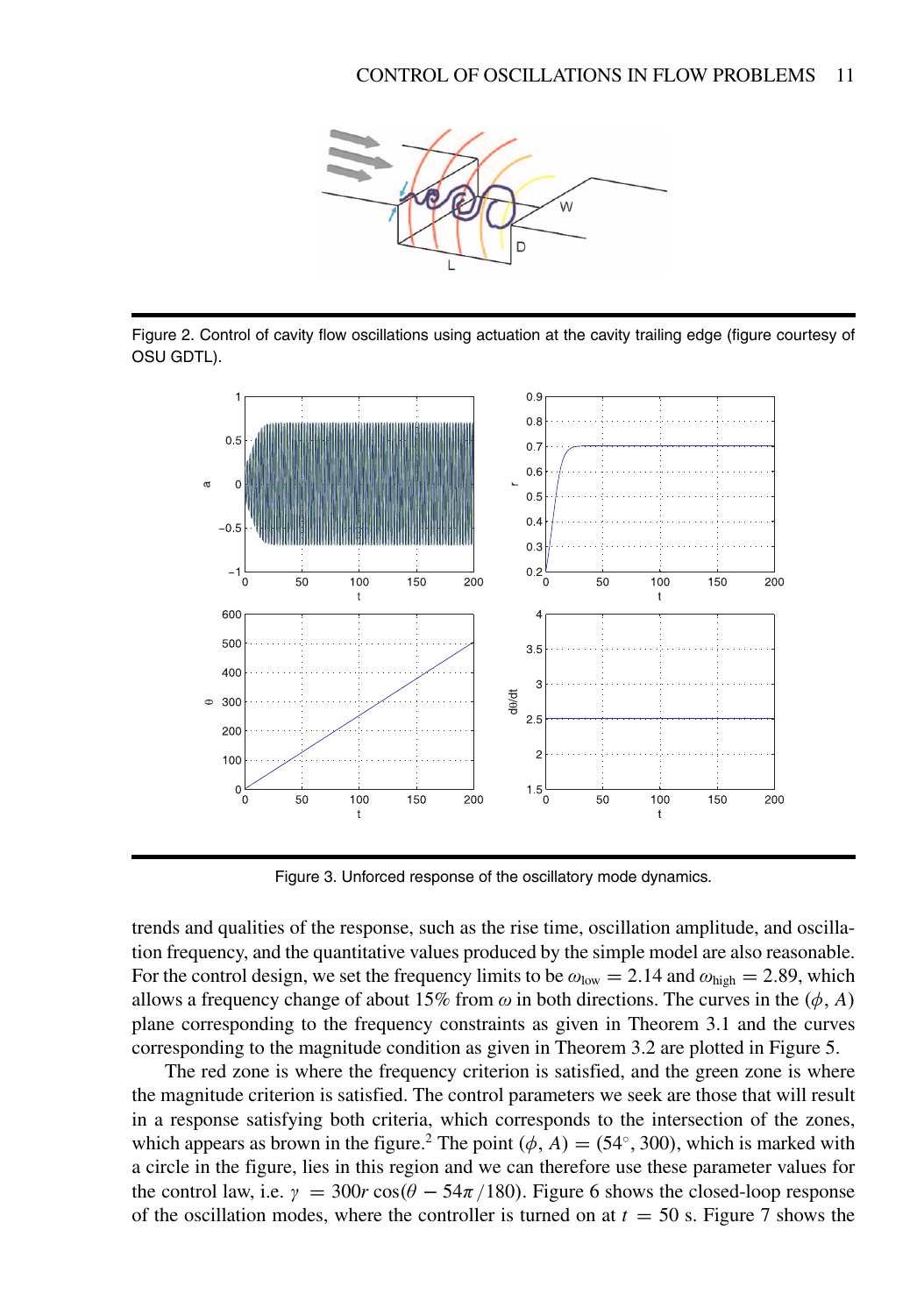

Figure 2. Control of cavity flow oscillations using actuation at the cavity trailing edge (figure courtesy of OSU GDTL).



Figure 3. Unforced response of the oscillatory mode dynamics.

trends and qualities of the response, such as the rise time, oscillation amplitude, and oscillation frequency, and the quantitative values produced by the simple model are also reasonable. For the control design, we set the frequency limits to be  $\omega_{\text{low}} = 2.14$  and  $\omega_{\text{high}} = 2.89$ , which allows a frequency change of about 15% from  $\omega$  in both directions. The curves in the  $(\phi, A)$ plane corresponding to the frequency constraints as given in Theorem 3.1 and the curves corresponding to the magnitude condition as given in Theorem 3.2 are plotted in Figure 5.

The red zone is where the frequency criterion is satisfied, and the green zone is where the magnitude criterion is satisfied. The control parameters we seek are those that will result in a response satisfying both criteria, which corresponds to the intersection of the zones, which appears as brown in the figure.<sup>2</sup> The point  $(\phi, A) = (54^{\circ}, 300)$ , which is marked with a circle in the figure, lies in this region and we can therefore use these parameter values for the control law, i.e.  $\gamma = 300r \cos(\theta - 54\pi/180)$ . Figure 6 shows the closed-loop response of the oscillation modes, where the controller is turned on at  $t = 50$  s. Figure 7 shows the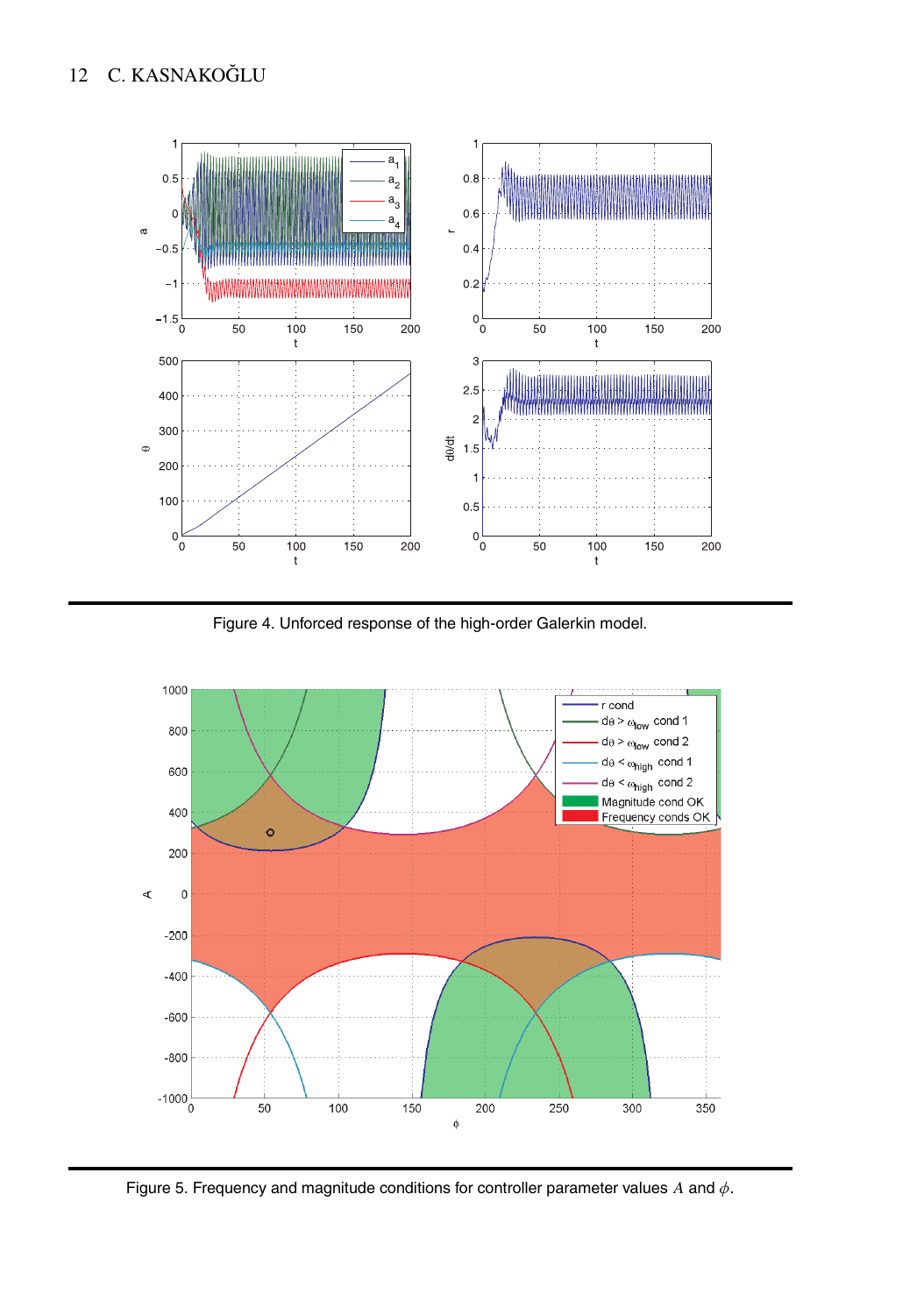

Figure 4. Unforced response of the high-order Galerkin model.



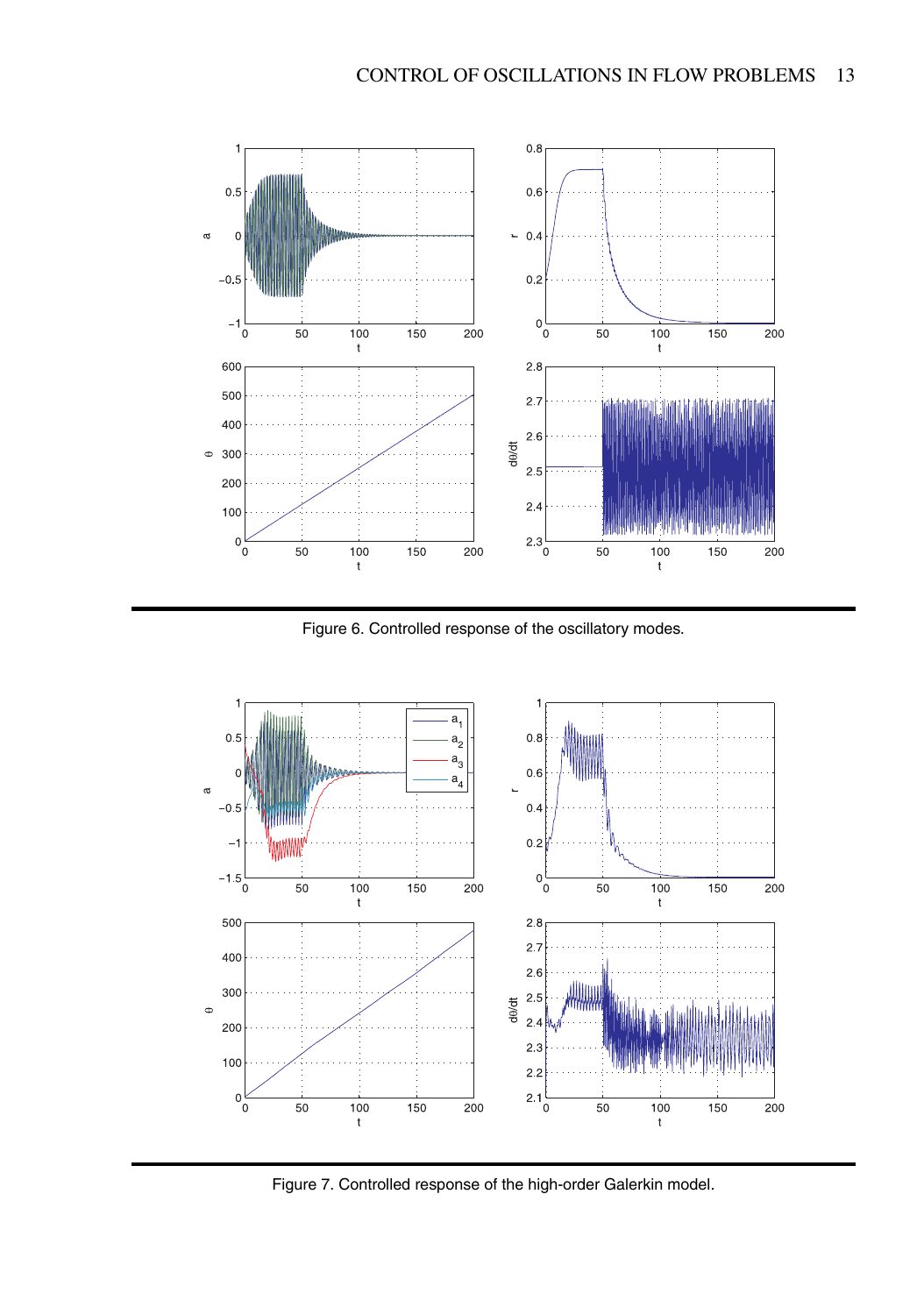

Figure 6. Controlled response of the oscillatory modes.



Figure 7. Controlled response of the high-order Galerkin model.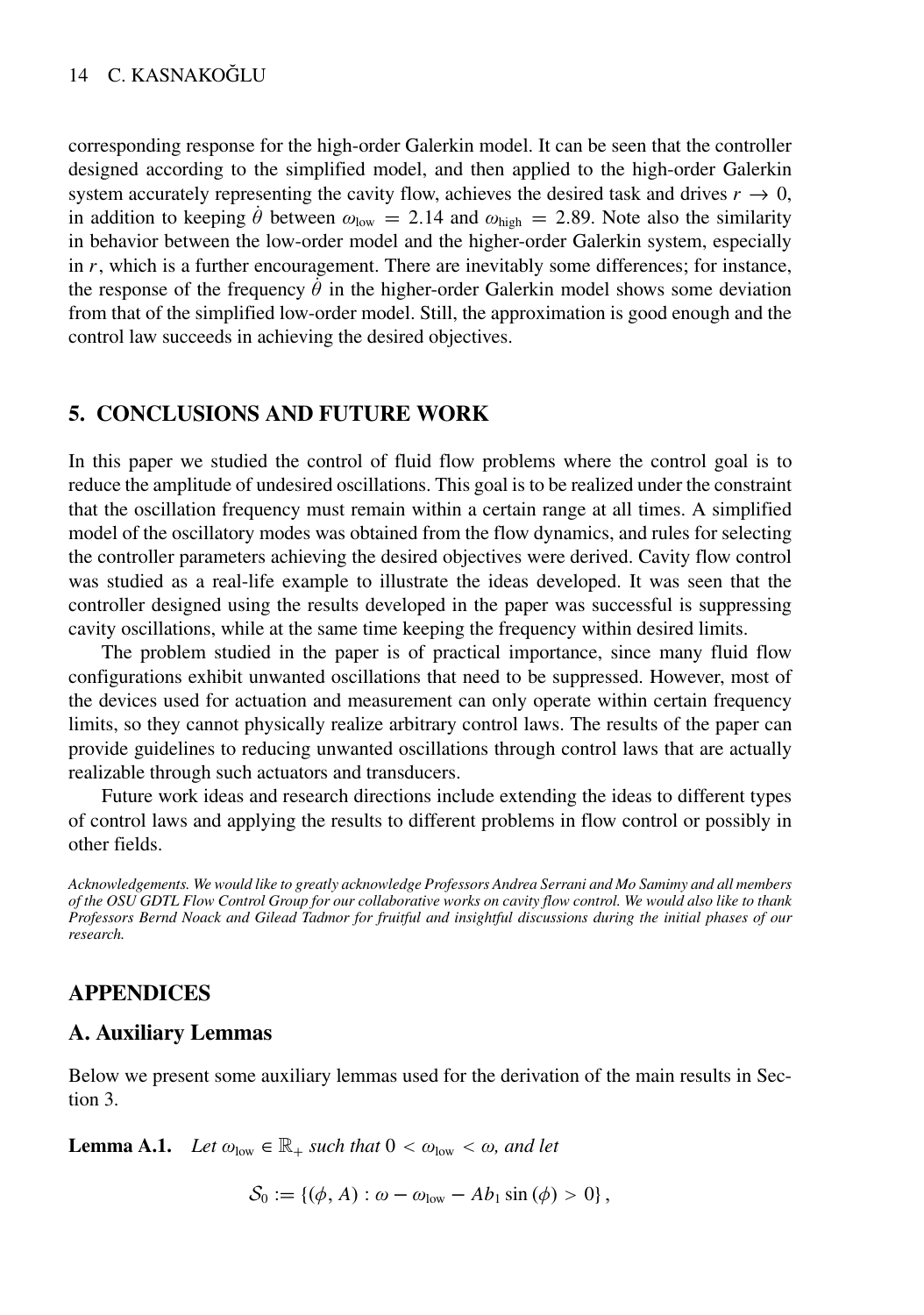corresponding response for the high-order Galerkin model. It can be seen that the controller designed according to the simplified model, and then applied to the high-order Galerkin system accurately representing the cavity flow, achieves the desired task and drives  $r \to 0$ , in addition to keeping  $\dot{\theta}$  between  $\omega_{\text{low}} = 2.14$  and  $\omega_{\text{high}} = 2.89$ . Note also the similarity in behavior between the low-order model and the higher-order Galerkin system, especially in  $r$ , which is a further encouragement. There are inevitably some differences; for instance, the response of the frequency  $\dot{\theta}$  in the higher-order Galerkin model shows some deviation from that of the simplified low-order model. Still, the approximation is good enough and the control law succeeds in achieving the desired objectives.

### **5. CONCLUSIONS AND FUTURE WORK**

In this paper we studied the control of fluid flow problems where the control goal is to reduce the amplitude of undesired oscillations. This goal is to be realized under the constraint that the oscillation frequency must remain within a certain range at all times. A simplified model of the oscillatory modes was obtained from the flow dynamics, and rules for selecting the controller parameters achieving the desired objectives were derived. Cavity flow control was studied as a real-life example to illustrate the ideas developed. It was seen that the controller designed using the results developed in the paper was successful is suppressing cavity oscillations, while at the same time keeping the frequency within desired limits.

The problem studied in the paper is of practical importance, since many fluid flow configurations exhibit unwanted oscillations that need to be suppressed. However, most of the devices used for actuation and measurement can only operate within certain frequency limits, so they cannot physically realize arbitrary control laws. The results of the paper can provide guidelines to reducing unwanted oscillations through control laws that are actually realizable through such actuators and transducers.

Future work ideas and research directions include extending the ideas to different types of control laws and applying the results to different problems in flow control or possibly in other fields.

*Acknowledgements. We would like to greatly acknowledge Professors Andrea Serrani and Mo Samimy and all members of the OSU GDTL Flow Control Group for our collaborative works on cavity flow control. We would also like to thank Professors Bernd Noack and Gilead Tadmor for fruitful and insightful discussions during the initial phases of our research.*

### **APPENDICES**

### **A. Auxiliary Lemmas**

Below we present some auxiliary lemmas used for the derivation of the main results in Section 3.

**Lemma A.1.** Let  $\omega_{\text{low}} \in \mathbb{R}_+$  such that  $0 < \omega_{\text{low}} < \omega$ , and let

$$
S_0 := \{(\phi, A) : \omega - \omega_{\text{low}} - Ab_1 \sin (\phi) > 0\},\,
$$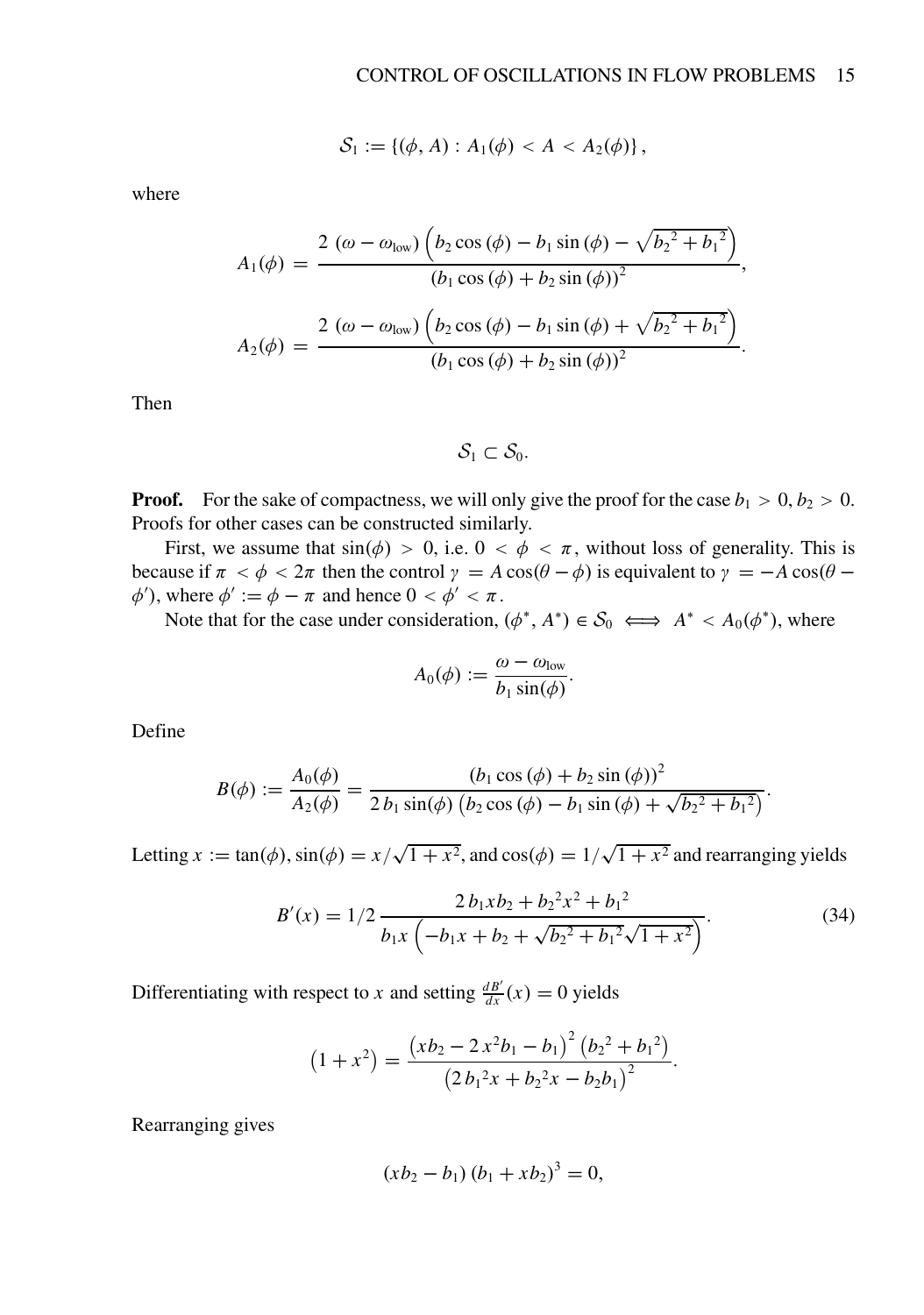$$
S_1 := \{(\phi, A) : A_1(\phi) < A < A_2(\phi)\},
$$

where

$$
A_1(\phi) = \frac{2 (\omega - \omega_{\text{low}}) (b_2 \cos(\phi) - b_1 \sin(\phi) - \sqrt{b_2^2 + b_1^2})}{(b_1 \cos(\phi) + b_2 \sin(\phi))^2},
$$
  

$$
A_2(\phi) = \frac{2 (\omega - \omega_{\text{low}}) (b_2 \cos(\phi) - b_1 \sin(\phi) + \sqrt{b_2^2 + b_1^2})}{(b_1 \cos(\phi) + b_2 \sin(\phi))^2}.
$$

Then

 $S_1 \subset S_0$ .

**Proof.** For the sake of compactness, we will only give the proof for the case  $b_1 > 0$ ,  $b_2 > 0$ . Proofs for other cases can be constructed similarly.

First, we assume that  $sin(\phi) > 0$ , i.e.  $0 < \phi < \pi$ , without loss of generality. This is because if  $\pi < \phi < 2\pi$  then the control  $\gamma = A \cos(\theta - \phi)$  is equivalent to  $\gamma = -A \cos(\theta - \phi)$  $\phi'$ ), where  $\phi' := \phi - \pi$  and hence  $0 < \phi' < \pi$ .

Note that for the case under consideration,  $(\phi^*, A^*) \in S_0 \iff A^* < A_0(\phi^*)$ , where

$$
A_0(\phi) := \frac{\omega - \omega_{\text{low}}}{b_1 \sin(\phi)}.
$$

Define

$$
B(\phi) := \frac{A_0(\phi)}{A_2(\phi)} = \frac{(b_1 \cos(\phi) + b_2 \sin(\phi))^2}{2 b_1 \sin(\phi) (b_2 \cos(\phi) - b_1 \sin(\phi) + \sqrt{b_2^2 + b_1^2})}.
$$

Letting  $x := \tan(\phi)$ ,  $\sin(\phi) = x/$  $\mathbb{R}^2$  $\sqrt{1 + x^2}$ , and  $\cos(\phi) = 1/$ i.  $\sqrt{1 + x^2}$  and rearranging yields

$$
B'(x) = 1/2 \frac{2b_1xb_2 + b_2^2x^2 + b_1^2}{b_1x\left(-b_1x + b_2 + \sqrt{b_2^2 + b_1^2}\sqrt{1 + x^2}\right)}.
$$
\n(34)

Differentiating with respect to *x* and setting  $\frac{dB'}{dx}(x) = 0$  yields

$$
(1+x^2) = \frac{(xb_2 - 2x^2b_1 - b_1)^2 (b_2^2 + b_1^2)}{(2b_1^2x + b_2^2x - b_2b_1)^2}.
$$

Rearranging gives

$$
(xb_2 - b_1) (b_1 + xb_2)^3 = 0,
$$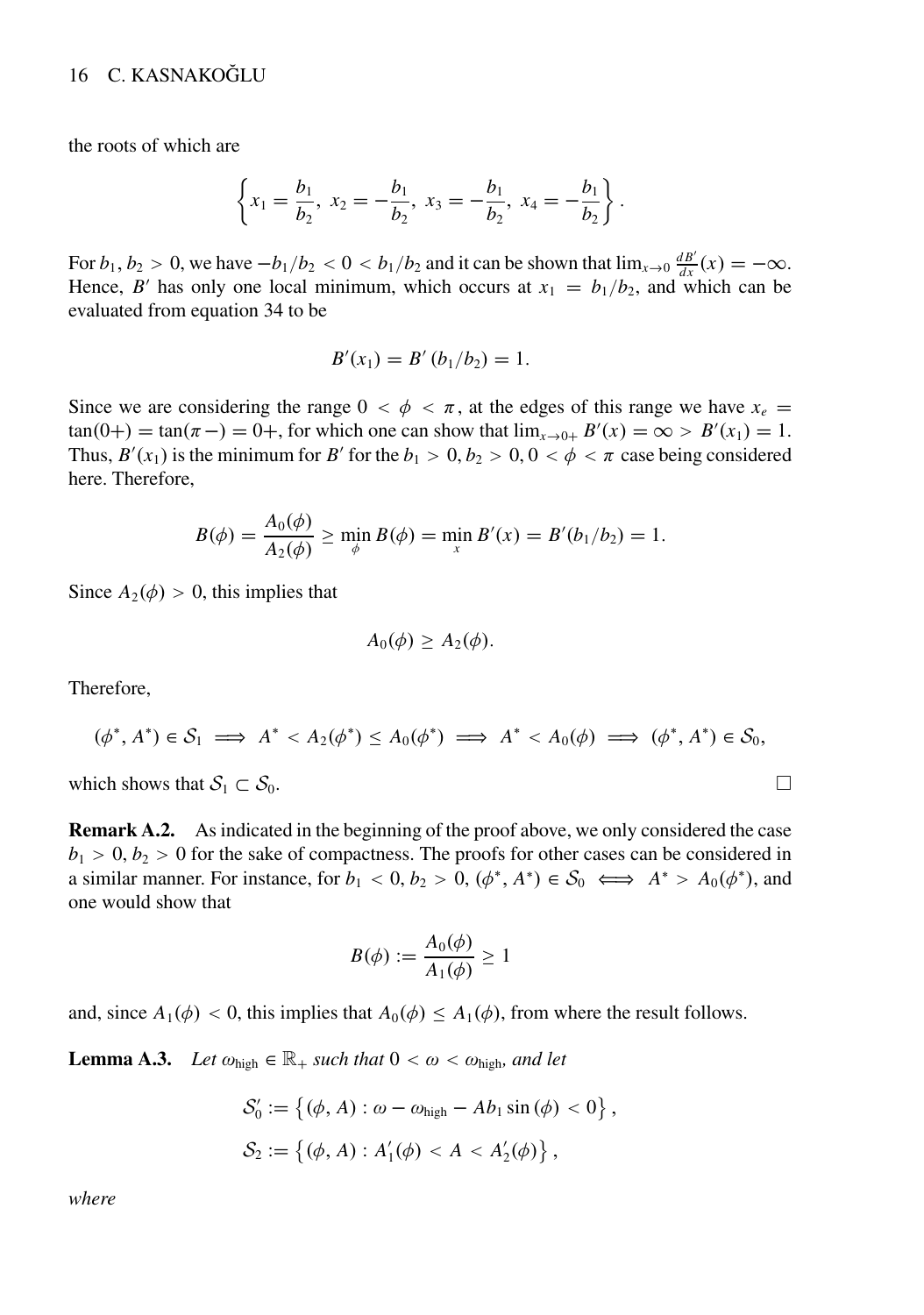# 16 C. KASNAKOĞLU

the roots of which are

$$
\left\{x_1 = \frac{b_1}{b_2}, x_2 = -\frac{b_1}{b_2}, x_3 = -\frac{b_1}{b_2}, x_4 = -\frac{b_1}{b_2}\right\}.
$$

For  $b_1, b_2 > 0$ , we have  $-b_1/b_2 < 0 < b_1/b_2$  and it can be shown that  $\lim_{x\to 0} \frac{dB'}{dx}(x) = -\infty$ . Hence, *B'* has only one local minimum, which occurs at  $x_1 = b_1/b_2$ , and which can be evaluated from equation 34 to be

$$
B'(x_1) = B'(b_1/b_2) = 1.
$$

Since we are considering the range  $0 < \phi < \pi$ , at the edges of this range we have  $x_e$  $\tan(0+) = \tan(\pi -) = 0 +$ , for which one can show that  $\lim_{x\to 0+} B'(x) = \infty > B'(x_1) = 1$ . Thus,  $B'(x_1)$  is the minimum for B' for the  $b_1 > 0$ ,  $b_2 > 0$ ,  $0 < \phi < \pi$  case being considered here. Therefore,

$$
B(\phi) = \frac{A_0(\phi)}{A_2(\phi)} \ge \min_{\phi} B(\phi) = \min_{x} B'(x) = B'(b_1/b_2) = 1.
$$

Since  $A_2(\phi) > 0$ , this implies that

$$
A_0(\phi) \ge A_2(\phi).
$$

Therefore,

$$
(\phi^*, A^*) \in \mathcal{S}_1 \implies A^* < A_2(\phi^*) \le A_0(\phi^*) \implies A^* < A_0(\phi) \implies (\phi^*, A^*) \in \mathcal{S}_0,
$$

which shows that  $S_1 \subset S_0$ .

**Remark A.2.** As indicated in the beginning of the proof above, we only considered the case  $b_1 > 0$ ,  $b_2 > 0$  for the sake of compactness. The proofs for other cases can be considered in a similar manner. For instance, for  $b_1 < 0$ ,  $b_2 > 0$ ,  $(\phi^*, A^*) \in S_0 \iff A^* > A_0(\phi^*)$ , and one would show that

$$
B(\phi) := \frac{A_0(\phi)}{A_1(\phi)} \ge 1
$$

and, since  $A_1(\phi) < 0$ , this implies that  $A_0(\phi) \leq A_1(\phi)$ , from where the result follows.

**Lemma A.3.** Let  $\omega_{\text{high}} \in \mathbb{R}_+$  such that  $0 < \omega < \omega_{\text{high}}$ , and let

$$
S'_0 := \{ (\phi, A) : \omega - \omega_{\text{high}} - Ab_1 \sin(\phi) < 0 \},
$$
\n
$$
S_2 := \{ (\phi, A) : A'_1(\phi) < A < A'_2(\phi) \},
$$

*where*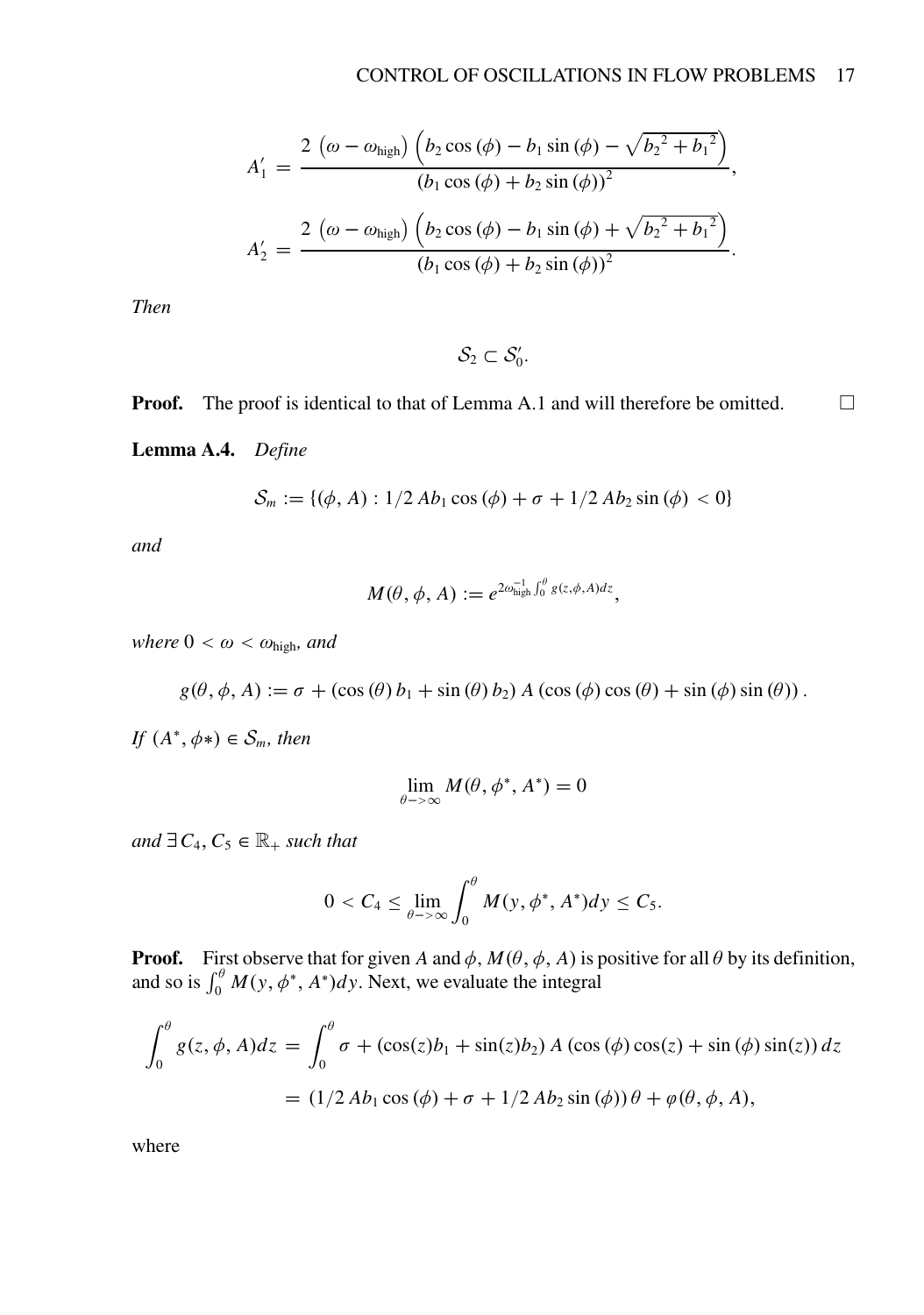$\overline{\phantom{a}}$ 

$$
A'_{1} = \frac{2 (\omega - \omega_{\text{high}}) (b_{2} \cos (\phi) - b_{1} \sin (\phi) - \sqrt{b_{2}^{2} + b_{1}^{2}})}{(b_{1} \cos (\phi) + b_{2} \sin (\phi))^{2}},
$$
  

$$
A'_{2} = \frac{2 (\omega - \omega_{\text{high}}) (b_{2} \cos (\phi) - b_{1} \sin (\phi) + \sqrt{b_{2}^{2} + b_{1}^{2}})}{(b_{1} \cos (\phi) + b_{2} \sin (\phi))^{2}}.
$$

*Then*

 $\mathcal{S}_2 \subset \mathcal{S}_0'.$ 

**Proof.** The proof is identical to that of Lemma A.1 and will therefore be omitted.  $\Box$ 

**Lemma A.4.** *Define*

 $S_m := \{ (\phi, A) : 1/2 Ab_1 \cos(\phi) + \sigma + 1/2 Ab_2 \sin(\phi) < 0 \}$ 

*and*

$$
M(\theta,\phi,A):=e^{2\omega_{\text{high}}^{-1}\int_0^\theta g(z,\phi,A)dz},
$$

where  $0 < \omega < \omega_{\text{high}}$  *and* 

 $g(\theta, \phi, A) := \sigma + (\cos(\theta) b_1 + \sin(\theta) b_2) A (\cos(\phi) \cos(\theta) + \sin(\phi) \sin(\theta)).$ 

*If*  $(A^*, \phi^*) \in S_m$ , then

$$
\lim_{\theta \to \infty} M(\theta, \phi^*, A^*) = 0
$$

 $and \exists C_4, C_5 \in \mathbb{R}_+$  such that

$$
0 < C_4 \le \lim_{\theta \to \infty} \int_0^\theta M(y, \phi^*, A^*) dy \le C_5.
$$

**Proof.** First observe that for given *A* and  $\phi$ ,  $M(\theta, \phi, A)$  is positive for all  $\theta$  by its definition, **Proof.** First observe that for given A and  $\phi$ ,  $M(\theta, \phi, A)$  is j<br>and so is  $\int_0^{\theta} M(y, \phi^*, A^*) dy$ . Next, we evaluate the integral

$$
\int_0^\theta g(z,\phi,A)dz = \int_0^\theta \sigma + (\cos(z)b_1 + \sin(z)b_2) A(\cos(\phi)\cos(z) + \sin(\phi)\sin(z)) dz
$$
  
= (1/2 Ab<sub>1</sub> cos(\phi) +  $\sigma$  + 1/2 Ab<sub>2</sub> sin(\phi))  $\theta + \varphi(\theta, \phi, A)$ ,

where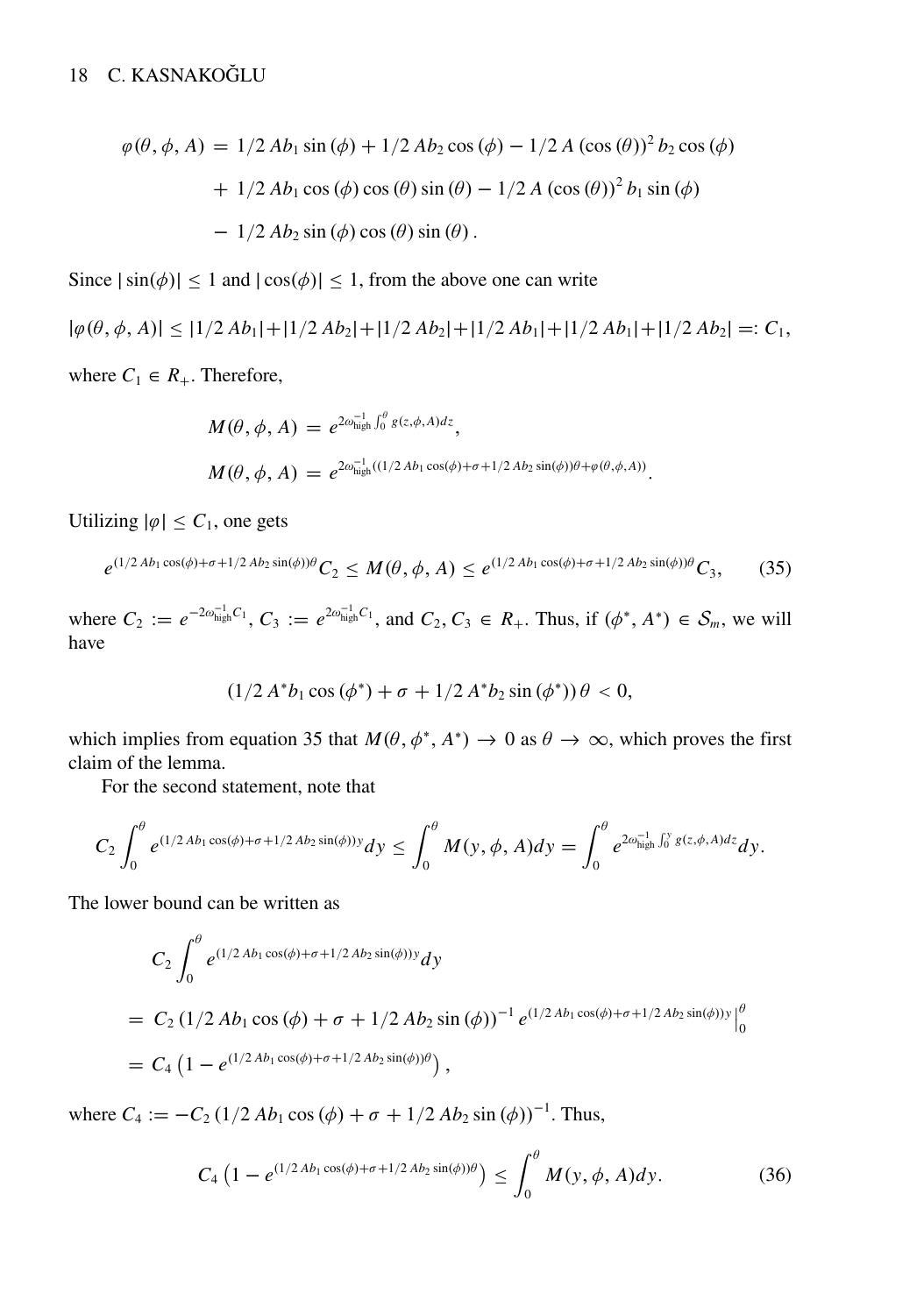$$
\varphi(\theta, \phi, A) = 1/2 Ab_1 \sin(\phi) + 1/2 Ab_2 \cos(\phi) - 1/2 A (\cos(\theta))^2 b_2 \cos(\phi) + 1/2 Ab_1 \cos(\phi) \cos(\theta) \sin(\theta) - 1/2 A (\cos(\theta))^2 b_1 \sin(\phi) - 1/2 Ab_2 \sin(\phi) \cos(\theta) \sin(\theta).
$$

Since  $|\sin(\phi)| \le 1$  and  $|\cos(\phi)| \le 1$ , from the above one can write

$$
|\varphi(\theta, \phi, A)| \le |1/2 A b_1| + |1/2 A b_2| + |1/2 A b_2| + |1/2 A b_1| + |1/2 A b_1| + |1/2 A b_2| =: C_1,
$$
  
where  $C_1 \in R_+$ . Therefore,

$$
M(\theta, \phi, A) = e^{2\omega_{\text{high}}^{-1} \int_0^{\theta} g(z, \phi, A) dz},
$$
  

$$
M(\theta, \phi, A) = e^{2\omega_{\text{high}}^{-1}((1/2Ab_1 \cos(\phi) + \sigma + 1/2Ab_2 \sin(\phi))\theta + \varphi(\theta, \phi, A))}.
$$

Utilizing  $|\varphi|$  < C<sub>1</sub>, one gets

$$
e^{(1/2 Ab_1 \cos(\phi) + \sigma + 1/2 Ab_2 \sin(\phi))\theta} C_2 \le M(\theta, \phi, A) \le e^{(1/2 Ab_1 \cos(\phi) + \sigma + 1/2 Ab_2 \sin(\phi))\theta} C_3,
$$
 (35)

where  $C_2 := e^{-2\omega_{\text{high}}^{-1}C_1}$ ,  $C_3 := e^{2\omega_{\text{high}}^{-1}C_1}$ , and  $C_2, C_3 \in R_+$ . Thus, if  $(\phi^*, A^*) \in S_m$ , we will have

$$
(1/2 A^* b_1 \cos (\phi^*) + \sigma + 1/2 A^* b_2 \sin (\phi^*)) \theta < 0,
$$

which implies from equation 35 that  $M(\theta, \phi^*, A^*) \to 0$  as  $\theta \to \infty$ , which proves the first claim of the lemma.

For the second statement, note that

$$
C_2 \int_0^{\theta} e^{(1/2Ab_1 \cos(\phi) + \sigma + 1/2Ab_2 \sin(\phi))y} dy \leq \int_0^{\theta} M(y, \phi, A) dy = \int_0^{\theta} e^{2\omega_{\text{high}}^{-1} \int_0^y g(z, \phi, A) dz} dy.
$$

The lower bound can be written as

$$
C_2 \int_0^{\theta} e^{(1/2 Ab_1 \cos(\phi) + \sigma + 1/2 Ab_2 \sin(\phi))y} dy
$$
  
=  $C_2 (1/2 Ab_1 \cos(\phi) + \sigma + 1/2 Ab_2 \sin(\phi))^{-1} e^{(1/2 Ab_1 \cos(\phi) + \sigma + 1/2 Ab_2 \sin(\phi))y} \Big|_0^{\theta}$   
=  $C_4 (1 - e^{(1/2 Ab_1 \cos(\phi) + \sigma + 1/2 Ab_2 \sin(\phi))\theta})$ ,

where  $C_4 := -C_2 (1/2 Ab_1 \cos{(\phi)} + \sigma + 1/2 Ab_2 \sin{(\phi)})^{-1}$ . Thus,

$$
C_4 \left( 1 - e^{(1/2Ab_1 \cos(\phi) + \sigma + 1/2Ab_2 \sin(\phi))\theta} \right) \le \int_0^\theta M(y, \phi, A) dy.
$$
 (36)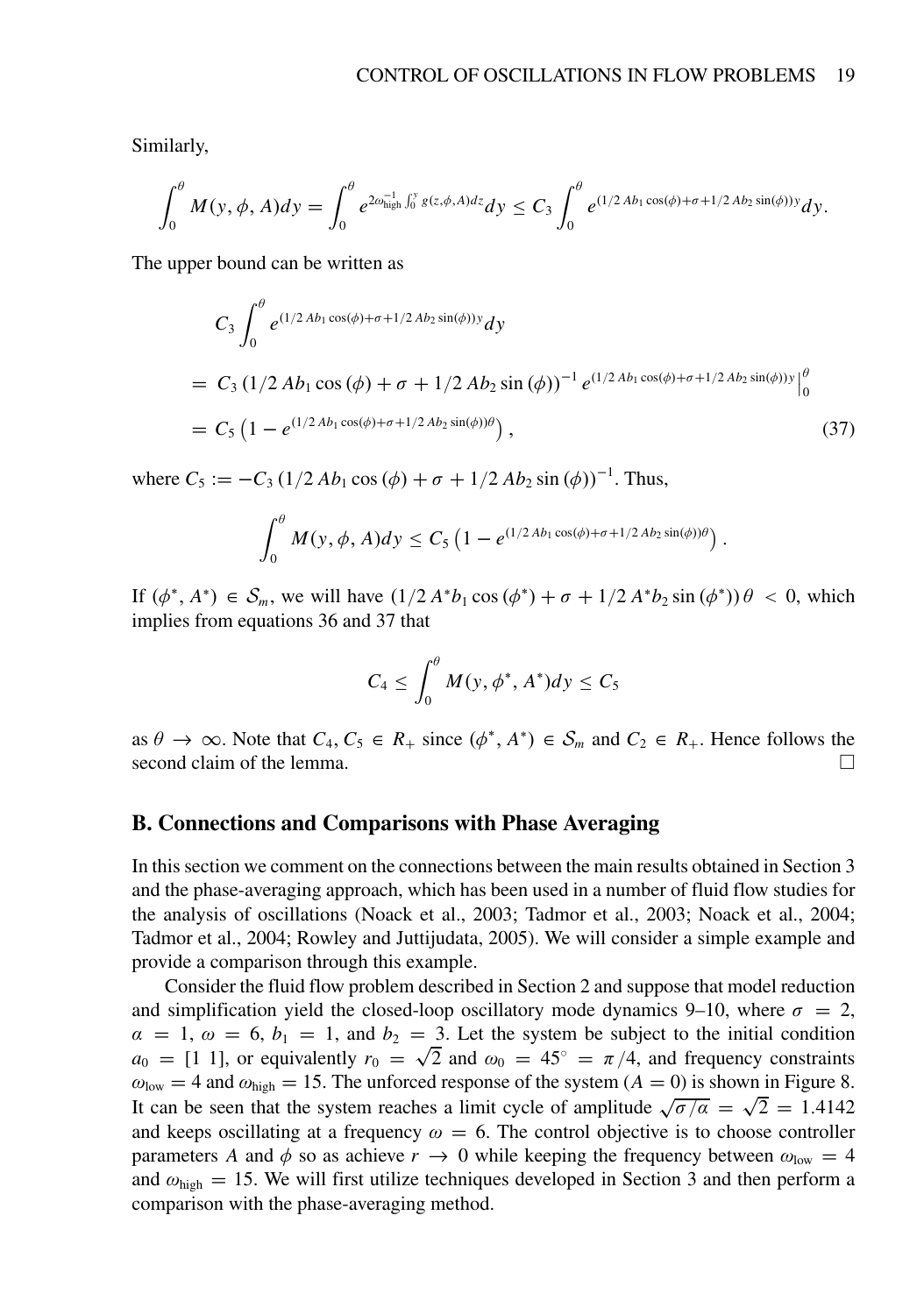Similarly,

$$
\int_0^\theta M(y, \phi, A) dy = \int_0^\theta e^{2\omega_{\text{high}}^{-1} \int_0^y g(z, \phi, A) dz} dy \leq C_3 \int_0^\theta e^{(1/2Ab_1 \cos(\phi) + \sigma + 1/2Ab_2 \sin(\phi))y} dy.
$$

The upper bound can be written as

$$
C_3 \int_0^{\theta} e^{(1/2 Ab_1 \cos(\phi) + \sigma + 1/2 Ab_2 \sin(\phi))y} dy
$$
  
=  $C_3 (1/2 Ab_1 \cos(\phi) + \sigma + 1/2 Ab_2 \sin(\phi))^{-1} e^{(1/2 Ab_1 \cos(\phi) + \sigma + 1/2 Ab_2 \sin(\phi))y} \Big|_0^{\theta}$   
=  $C_5 (1 - e^{(1/2 Ab_1 \cos(\phi) + \sigma + 1/2 Ab_2 \sin(\phi))\theta}),$  (37)

where  $C_5 := -C_3 (1/2 Ab_1 \cos{(\phi)} + \sigma + 1/2 Ab_2 \sin{(\phi)})^{-1}$ . Thus,

$$
\int_0^\theta M(y,\phi,A)dy \leq C_5 \left(1 - e^{(1/2Ab_1\cos(\phi) + \sigma + 1/2Ab_2\sin(\phi))\theta}\right).
$$

If  $(\phi^*, A^*) \in S_m$ , we will have  $(1/2 A^* b_1 \cos(\phi^*) + \sigma + 1/2 A^* b_2 \sin(\phi^*)) \theta < 0$ , which implies from equations 36 and 37 that

$$
C_4 \leq \int_0^\theta M(y, \phi^*, A^*) dy \leq C_5
$$

as  $\theta \to \infty$ . Note that  $C_4, C_5 \in R_+$  since  $(\phi^*, A^*) \in S_m$  and  $C_2 \in R_+$ . Hence follows the second claim of the lemma.

#### **B. Connections and Comparisons with Phase Averaging**

In this section we comment on the connections between the main results obtained in Section 3 and the phase-averaging approach, which has been used in a number of fluid flow studies for the analysis of oscillations (Noack et al., 2003; Tadmor et al., 2003; Noack et al., 2004; Tadmor et al., 2004; Rowley and Juttijudata, 2005). We will consider a simple example and provide a comparison through this example.

Consider the fluid flow problem described in Section 2 and suppose that model reduction and simplification yield the closed-loop oscillatory mode dynamics 9–10, where  $\sigma = 2$ ,  $\alpha = 1, \omega = 6, b_1 = 1, \text{ and } b_2 = 3.$  Let the system be subject to the initial condition  $a_0 = [1 \; 1]$ , or equivalently  $r_0 = \sqrt{2}$  and  $\omega_0 = 45^\circ = \pi/4$ , and frequency constraints  $\omega_{\text{low}} = 4$  and  $\omega_{\text{high}} = 15$ . The unforced response of the system ( $A = 0$ ) is shown in Figure 8. It can be seen that the system reaches a limit cycle of amplitude  $\sqrt{\sigma/a} = \sqrt{2} = 1.4142$ and keeps oscillating at a frequency  $\omega = 6$ . The control objective is to choose controller parameters A and  $\phi$  so as achieve  $r \to 0$  while keeping the frequency between  $\omega_{\text{low}} = 4$ and  $\omega_{\text{high}} = 15$ . We will first utilize techniques developed in Section 3 and then perform a comparison with the phase-averaging method.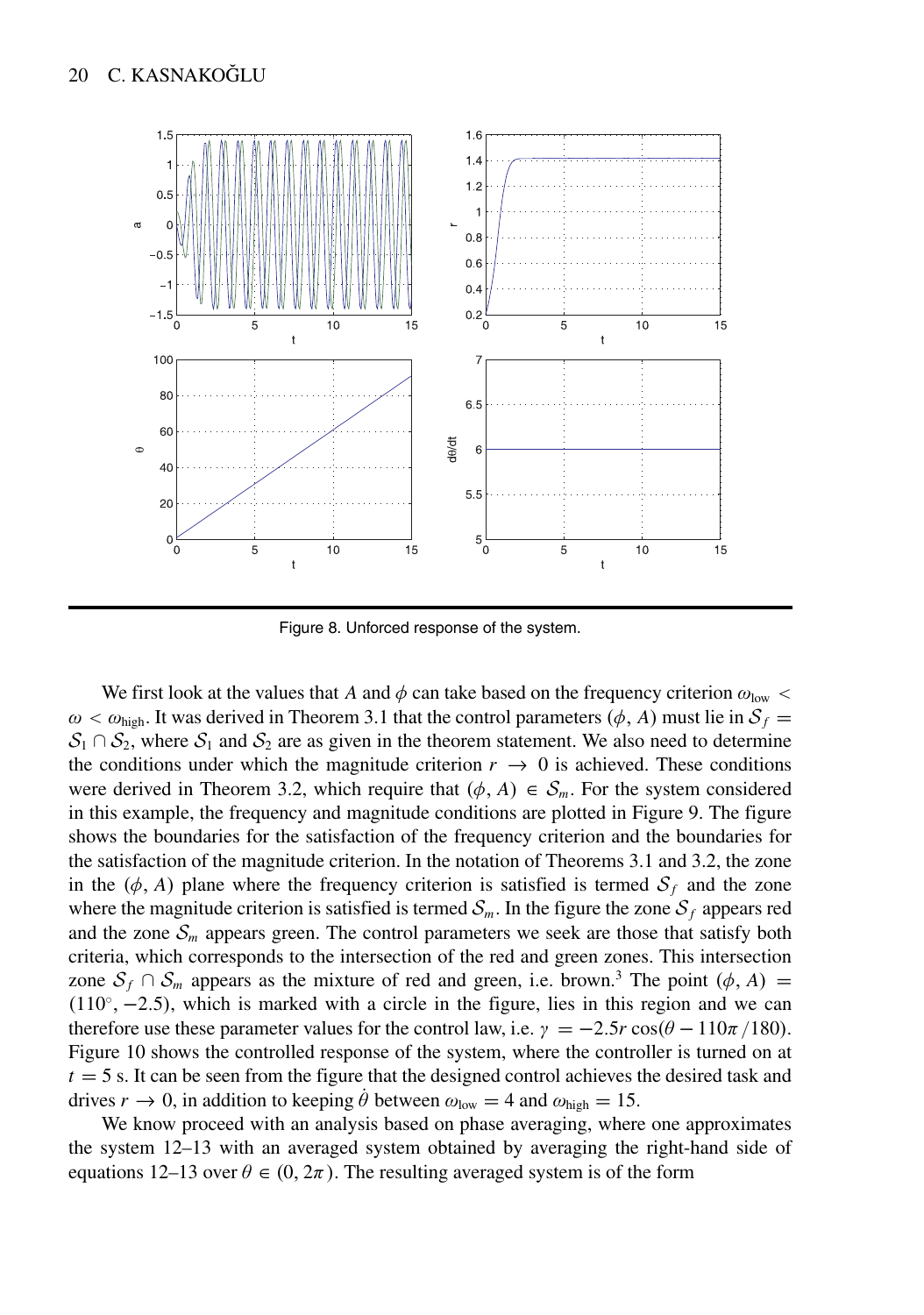

Figure 8. Unforced response of the system.

We first look at the values that *A* and  $\phi$  can take based on the frequency criterion  $\omega_{\text{low}}$  <  $\omega < \omega_{\text{high}}$ . It was derived in Theorem 3.1 that the control parameters  $(\phi, A)$  must lie in  $S_f$  $S_1 \cap S_2$ , where  $S_1$  and  $S_2$  are as given in the theorem statement. We also need to determine the conditions under which the magnitude criterion  $r \to 0$  is achieved. These conditions were derived in Theorem 3.2, which require that  $(\phi, A) \in S_m$ . For the system considered in this example, the frequency and magnitude conditions are plotted in Figure 9. The figure shows the boundaries for the satisfaction of the frequency criterion and the boundaries for the satisfaction of the magnitude criterion. In the notation of Theorems 3.1 and 3.2, the zone in the  $(\phi, A)$  plane where the frequency criterion is satisfied is termed  $S_f$  and the zone where the magnitude criterion is satisfied is termed  $S_m$ . In the figure the zone  $S_f$  appears red and the zone  $S_m$  appears green. The control parameters we seek are those that satisfy both criteria, which corresponds to the intersection of the red and green zones. This intersection zone  $S_f \cap S_m$  appears as the mixture of red and green, i.e. brown.<sup>3</sup> The point  $(\phi, A)$  =  $(110^{\circ}, -2.5)$ , which is marked with a circle in the figure, lies in this region and we can therefore use these parameter values for the control law, i.e.  $\gamma = -2.5r \cos(\theta - 110\pi/180)$ . Figure 10 shows the controlled response of the system, where the controller is turned on at  $t = 5$  s. It can be seen from the figure that the designed control achieves the desired task and drives  $r \to 0$ , in addition to keeping  $\dot{\theta}$  between  $\omega_{\text{low}} = 4$  and  $\omega_{\text{high}} = 15$ .

We know proceed with an analysis based on phase averaging, where one approximates the system 12–13 with an averaged system obtained by averaging the right-hand side of equations 12–13 over  $\theta \in (0, 2\pi)$ . The resulting averaged system is of the form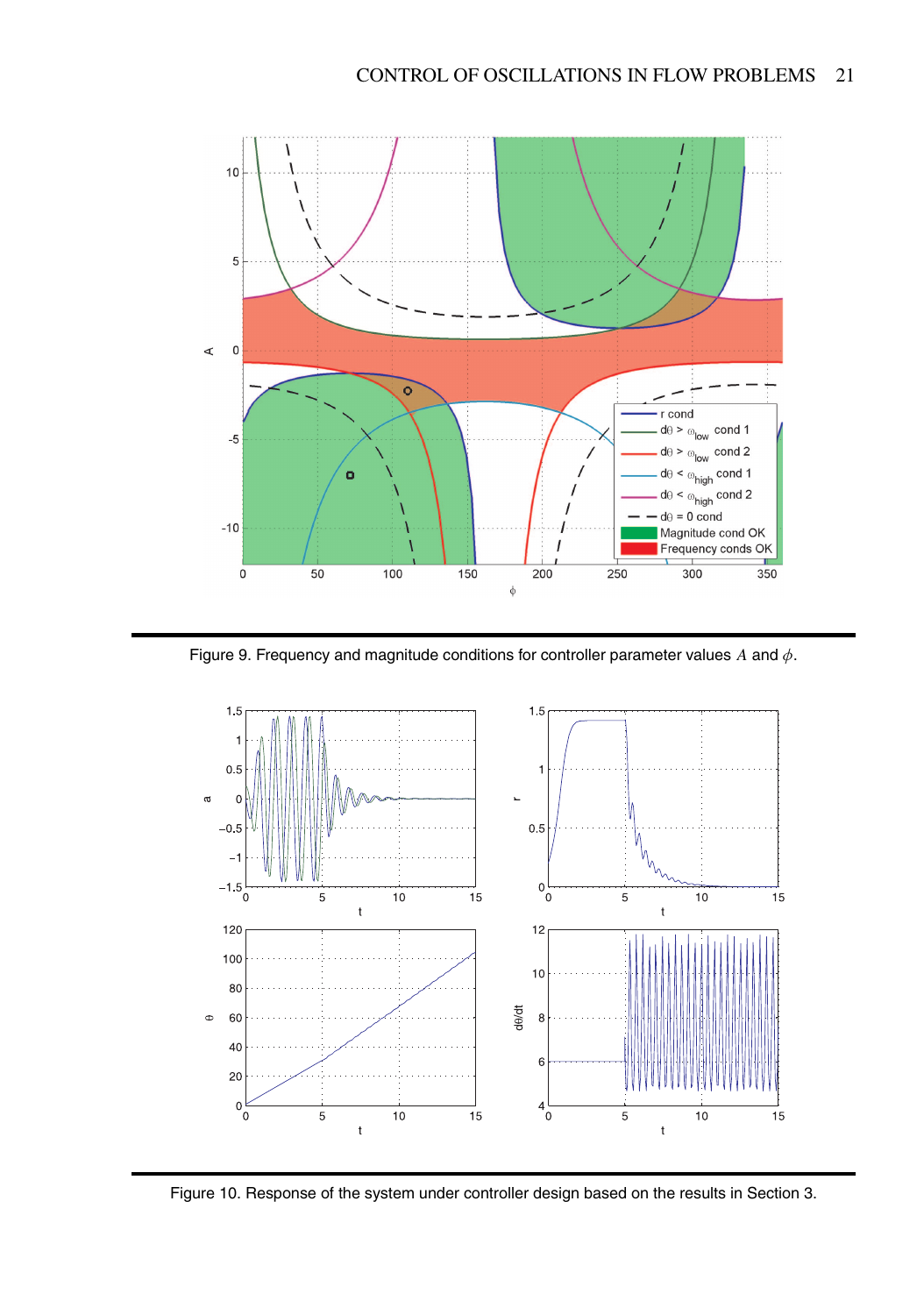

Figure 9. Frequency and magnitude conditions for controller parameter values  $A$  and  $\phi$ .



Figure 10. Response of the system under controller design based on the results in Section 3.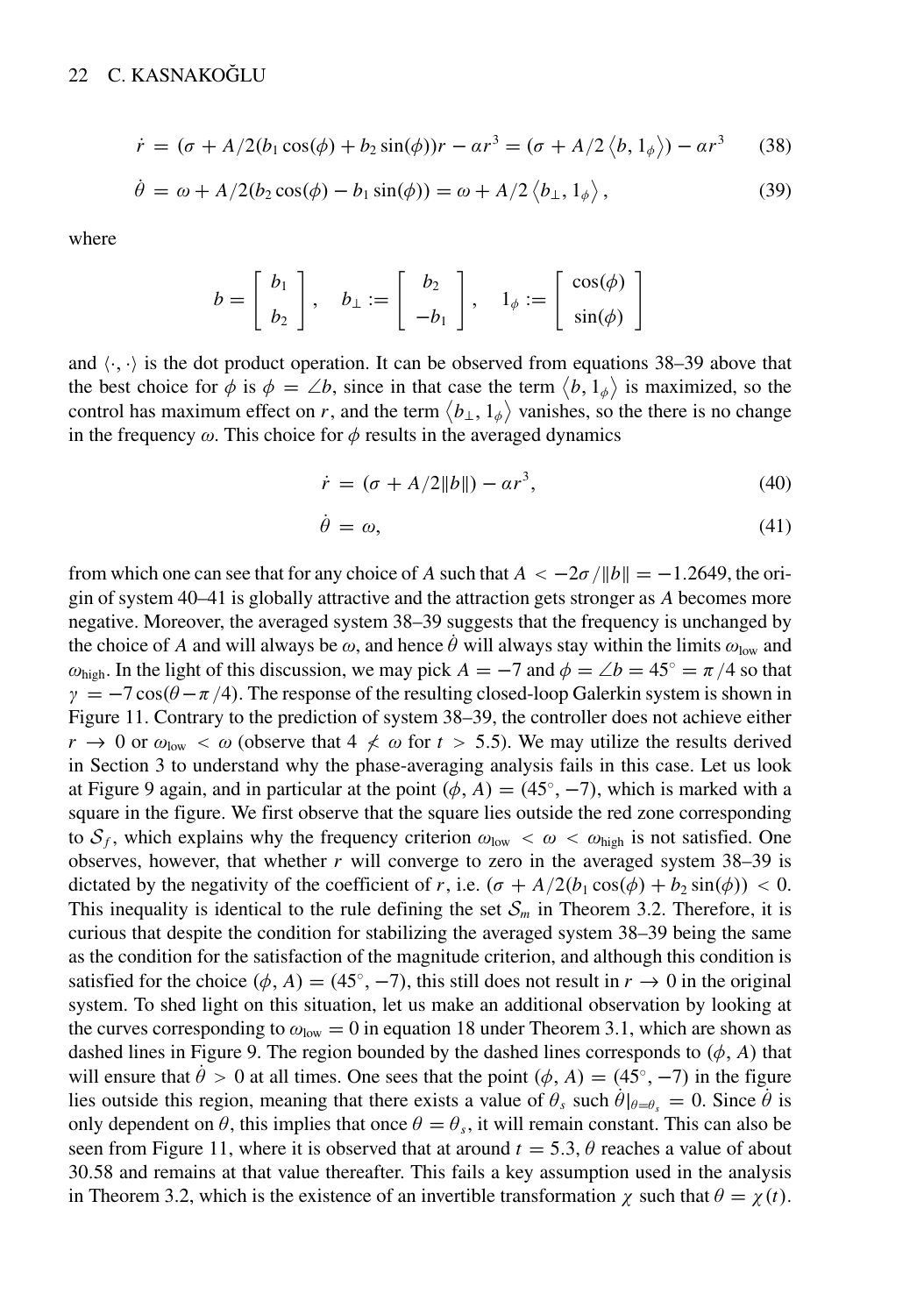$$
\dot{r} = (\sigma + A/2(b_1 \cos(\phi) + b_2 \sin(\phi))r - \alpha r^3 = (\sigma + A/2 \langle b, 1_{\phi} \rangle) - \alpha r^3 \qquad (38)
$$

$$
\dot{\theta} = \omega + A/2(b_2 \cos(\phi) - b_1 \sin(\phi)) = \omega + A/2 \langle b_\perp, 1_\phi \rangle, \tag{39}
$$

where

$$
b = \begin{bmatrix} b_1 \\ b_2 \end{bmatrix}, \quad b_\perp := \begin{bmatrix} b_2 \\ -b_1 \end{bmatrix}, \quad 1_\phi := \begin{bmatrix} \cos(\phi) \\ \sin(\phi) \end{bmatrix}
$$

and  $\langle \cdot, \cdot \rangle$  is the dot product operation. It can be observed from equations 38–39 above that and  $\langle \cdot, \cdot \rangle$  is the dot product operation. It can be observed from equations 38–39 above that the best choice for  $\phi$  is  $\phi = \angle b$ , since in that case the term  $\langle b, 1_{\phi} \rangle$  is maximized, so the the best choice for  $\phi$  is  $\phi = \angle b$ , since in that case the term  $\langle b, 1_{\phi} \rangle$  is maximized, so the control has maximum effect on *r*, and the term  $\langle b_{\perp}, 1_{\phi} \rangle$  vanishes, so the there is no change in the frequency  $\omega$ . This choice for  $\phi$  results in the averaged dynamics

$$
\dot{r} = (\sigma + A/2||b||) - \alpha r^3,
$$
\n(40)

$$
\dot{\theta} = \omega,\tag{41}
$$

from which one can see that for any choice of *A* such that  $A < -2\sigma/||b|| = -1.2649$ , the origin of system 40–41 is globally attractive and the attraction gets stronger as *A* becomes more negative. Moreover, the averaged system 38–39 suggests that the frequency is unchanged by the choice of *A* and will always be  $\omega$ , and hence  $\dot{\theta}$  will always stay within the limits  $\omega_{\text{low}}$  and  $\omega_{\text{high}}$ . In the light of this discussion, we may pick  $A = -7$  and  $\phi = \angle b = 45^\circ = \pi/4$  so that  $\gamma = -7 \cos(\theta - \pi/4)$ . The response of the resulting closed-loop Galerkin system is shown in Figure 11. Contrary to the prediction of system 38–39, the controller does not achieve either  $r \to 0$  or  $\omega_{\text{low}} < \omega$  (observe that  $4 \nless \omega$  for  $t > 5.5$ ). We may utilize the results derived in Section 3 to understand why the phase-averaging analysis fails in this case. Let us look at Figure 9 again, and in particular at the point  $(\phi, A) = (45^{\circ}, -7)$ , which is marked with a square in the figure. We first observe that the square lies outside the red zone corresponding to  $S_f$ , which explains why the frequency criterion  $\omega_{low} < \omega < \omega_{high}$  is not satisfied. One observes, however, that whether  $r$  will converge to zero in the averaged system  $38-39$  is dictated by the negativity of the coefficient of *r*, i.e.  $(\sigma + A/2(b_1 \cos(\phi) + b_2 \sin(\phi)) < 0$ . This inequality is identical to the rule defining the set  $S_m$  in Theorem 3.2. Therefore, it is curious that despite the condition for stabilizing the averaged system 38–39 being the same as the condition for the satisfaction of the magnitude criterion, and although this condition is satisfied for the choice  $(\phi, A) = (45^{\circ}, -7)$ , this still does not result in  $r \to 0$  in the original system. To shed light on this situation, let us make an additional observation by looking at the curves corresponding to  $\omega_{\text{low}} = 0$  in equation 18 under Theorem 3.1, which are shown as dashed lines in Figure 9. The region bounded by the dashed lines corresponds to  $(\phi, A)$  that will ensure that  $\dot{\theta} > 0$  at all times. One sees that the point  $(\phi, A) = (45^{\circ}, -7)$  in the figure lies outside this region, meaning that there exists a value of  $\theta_s$  such  $\dot{\theta}|_{\theta=\theta_s} = 0$ . Since  $\dot{\theta}$  is only dependent on  $\theta$ , this implies that once  $\theta = \theta_s$ , it will remain constant. This can also be seen from Figure 11, where it is observed that at around  $t = 5.3$ ,  $\theta$  reaches a value of about 3058 and remains at that value thereafter. This fails a key assumption used in the analysis in Theorem 3.2, which is the existence of an invertible transformation  $\chi$  such that  $\theta = \chi(t)$ .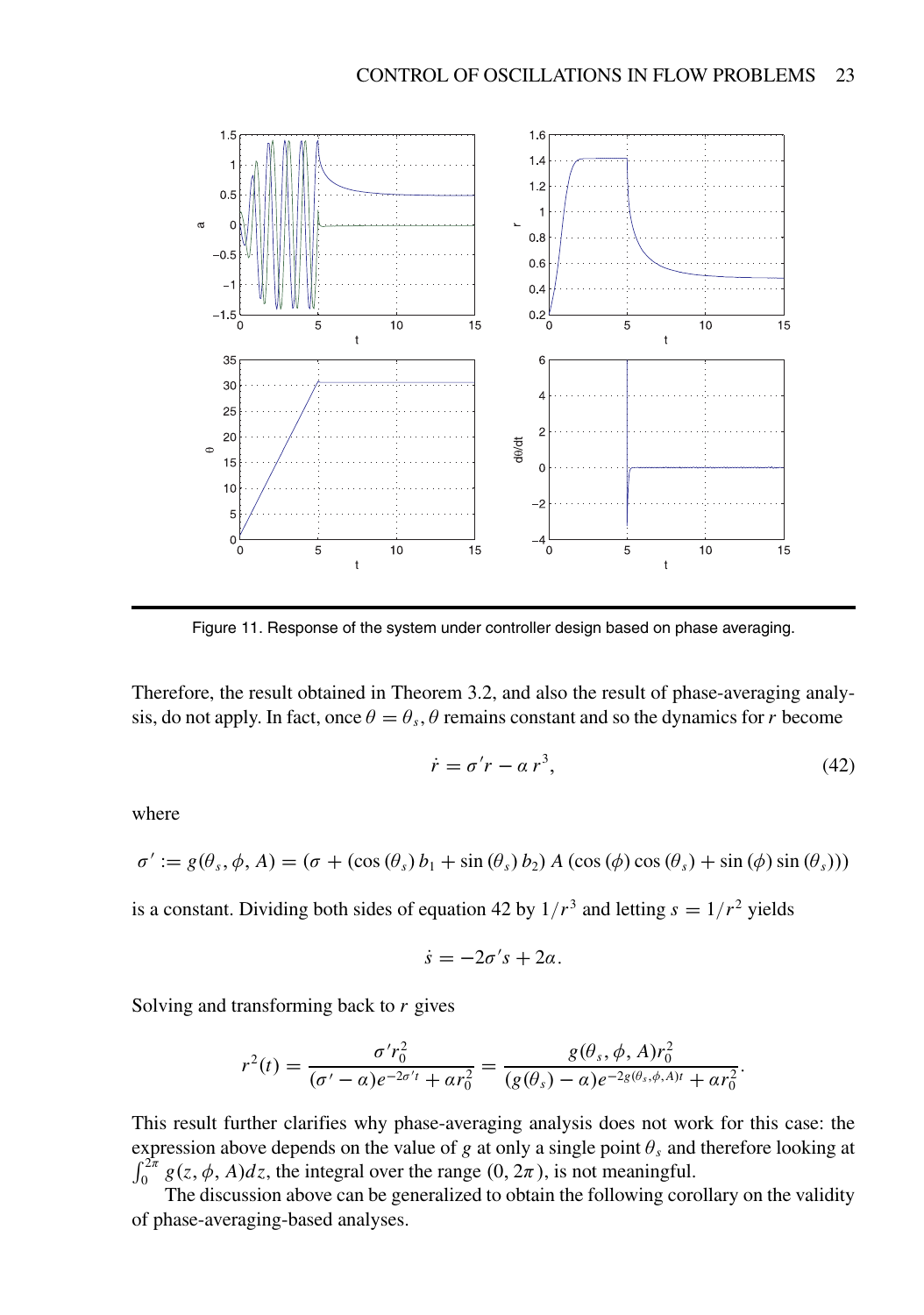

Figure 11. Response of the system under controller design based on phase averaging.

Therefore, the result obtained in Theorem 3.2, and also the result of phase-averaging analysis, do not apply. In fact, once  $\theta = \theta_s$ ,  $\theta$  remains constant and so the dynamics for r become

$$
\dot{r} = \sigma' r - \alpha r^3,\tag{42}
$$

where

$$
\sigma' := g(\theta_s, \phi, A) = (\sigma + (\cos(\theta_s) b_1 + \sin(\theta_s) b_2) A (\cos(\phi) \cos(\theta_s) + \sin(\phi) \sin(\theta_s)))
$$

is a constant. Dividing both sides of equation 42 by  $1/r^3$  and letting  $s = 1/r^2$  yields

$$
\dot{s} = -2\sigma' s + 2\alpha.
$$

Solving and transforming back to *r* gives

$$
r^{2}(t) = \frac{\sigma' r_{0}^{2}}{(\sigma' - \alpha)e^{-2\sigma' t} + \alpha r_{0}^{2}} = \frac{g(\theta_{s}, \phi, A)r_{0}^{2}}{(g(\theta_{s}) - \alpha)e^{-2g(\theta_{s}, \phi, A)t} + \alpha r_{0}^{2}}.
$$

This result further clarifies why phase-averaging analysis does not work for this case: the expression above depends on the value of *g* at only a single point  $\theta_s$  and therefore looking at  $\int_0^{2\pi} g(z, \phi, A) dz$ , the integral over the range  $(0, 2\pi)$ , is not meaningful.

The discussion above can be generalized to obtain the following corollary on the validity of phase-averaging-based analyses.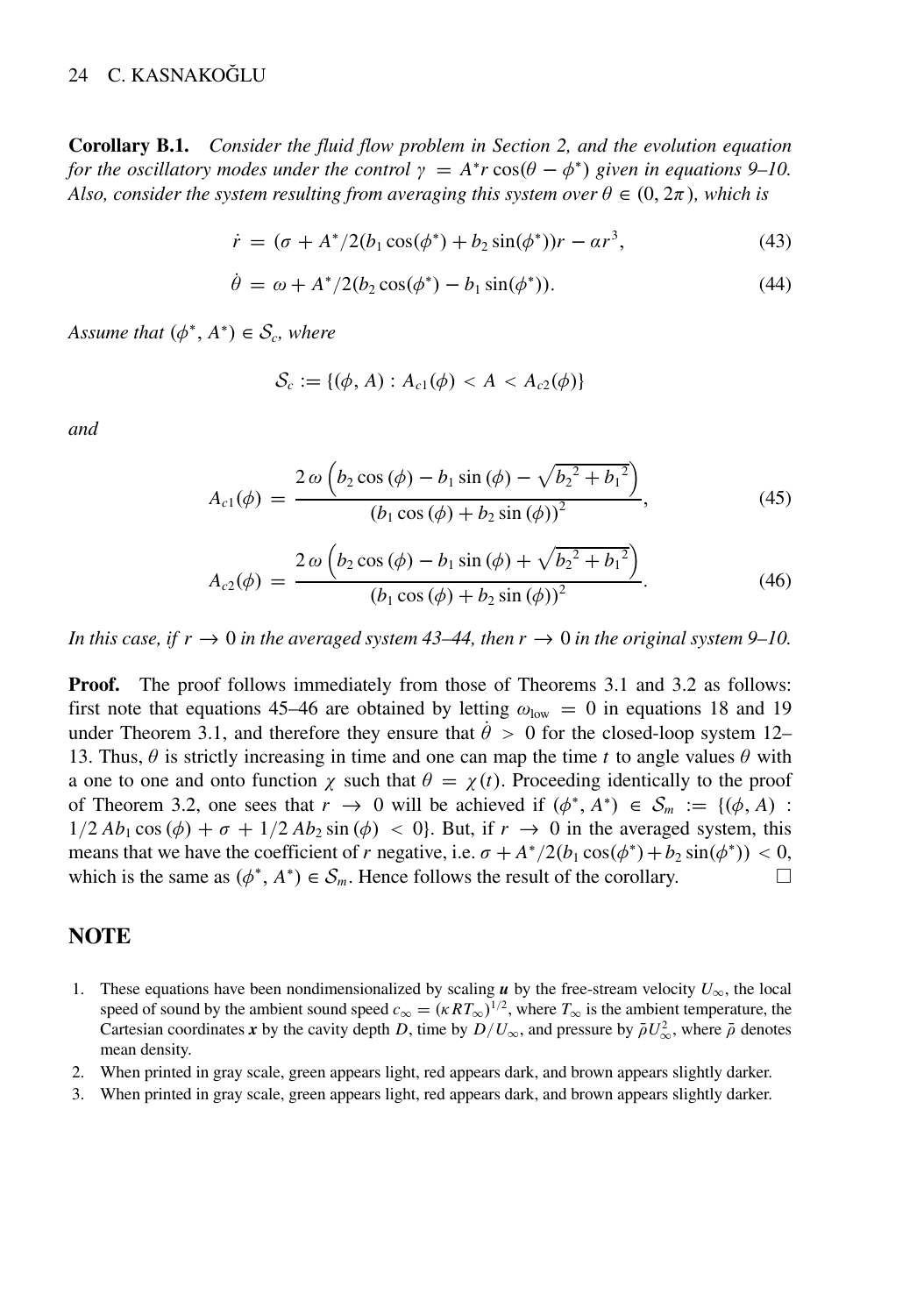# 24 C. KASNAKOĞLU

**Corollary B.1.** *Consider the fluid flow problem in Section 2, and the evolution equation for the oscillatory modes under the control*  $\gamma = A^*r \cos(\theta - \phi^*)$  given in equations 9–10. *Also, consider the system resulting from averaging this system over*  $\theta \in (0, 2\pi)$ , which is

$$
\dot{r} = (\sigma + A^*)2(b_1 \cos(\phi^*) + b_2 \sin(\phi^*))r - ar^3,
$$
\n(43)

$$
\dot{\theta} = \omega + A^* / 2(b_2 \cos(\phi^*) - b_1 \sin(\phi^*)). \tag{44}
$$

*Assume that*  $(\phi^*, A^*) \in \mathcal{S}_c$ , where

$$
\mathcal{S}_c := \{(\phi, A) : A_{c1}(\phi) < A < A_{c2}(\phi)\}
$$

*and*

$$
A_{c1}(\phi) = \frac{2\,\omega\,\left(b_2\cos\,(\phi) - b_1\sin\,(\phi) - \sqrt{b_2^2 + b_1^2}\right)}{(b_1\cos\,(\phi) + b_2\sin\,(\phi))^2},\tag{45}
$$

$$
A_{c2}(\phi) = \frac{2\omega\left(b_2\cos{(\phi)} - b_1\sin{(\phi)} + \sqrt{b_2^2 + b_1^2}\right)}{(b_1\cos{(\phi)} + b_2\sin{(\phi)})^2}.
$$
 (46)

In this case, if  $r \to 0$  in the averaged system 43–44, then  $r \to 0$  in the original system 9–10.

**Proof.** The proof follows immediately from those of Theorems 3.1 and 3.2 as follows: first note that equations 45–46 are obtained by letting  $\omega_{\text{low}} = 0$  in equations 18 and 19 under Theorem 3.1, and therefore they ensure that  $\dot{\theta} > 0$  for the closed-loop system 12– 13. Thus,  $\theta$  is strictly increasing in time and one can map the time *t* to angle values  $\theta$  with a one to one and onto function  $\chi$  such that  $\theta = \chi(t)$ . Proceeding identically to the proof of Theorem 3.2, one sees that  $r \to 0$  will be achieved if  $(\phi^*, A^*) \in S_m := \{(\phi, A) : A \in \mathbb{R}^m : A \in \mathbb{R}^m : A \in \mathbb{R}^m : A \in \mathbb{R}^m : A \in \mathbb{R}^m : A \in \mathbb{R}^m : A \in \mathbb{R}^m : A \in \mathbb{R}^m : A \in \mathbb{R}^m : A \in \mathbb{R}^m$  $1/2 Ab_1 \cos{(\phi)} + \sigma + 1/2 Ab_2 \sin{(\phi)} < 0$ . But, if  $r \to 0$  in the averaged system, this means that we have the coefficient of *r* negative, i.e.  $\sigma + A^*/2(b_1 \cos(\phi^*) + b_2 \sin(\phi^*))$  < 0, which is the same as  $(\phi^*, A^*) \in S_m$ . Hence follows the result of the corollary.

#### **NOTE**

- 1. These equations have been nondimensionalized by scaling  $\bf{u}$  by the free-stream velocity  $U_{\infty}$ , the local speed of sound by the ambient sound speed  $c_{\infty} = (\kappa RT_{\infty})^{1/2}$ , where  $T_{\infty}$  is the ambient temperature, the Cartesian coordinates x by the cavity depth *D*, time by  $D/U_\infty$ , and pressure by  $\bar{\rho} U_\infty^2$ , where  $\bar{\rho}$  denotes mean density.
- 2. When printed in gray scale, green appears light, red appears dark, and brown appears slightly darker.
- 3. When printed in gray scale, green appears light, red appears dark, and brown appears slightly darker.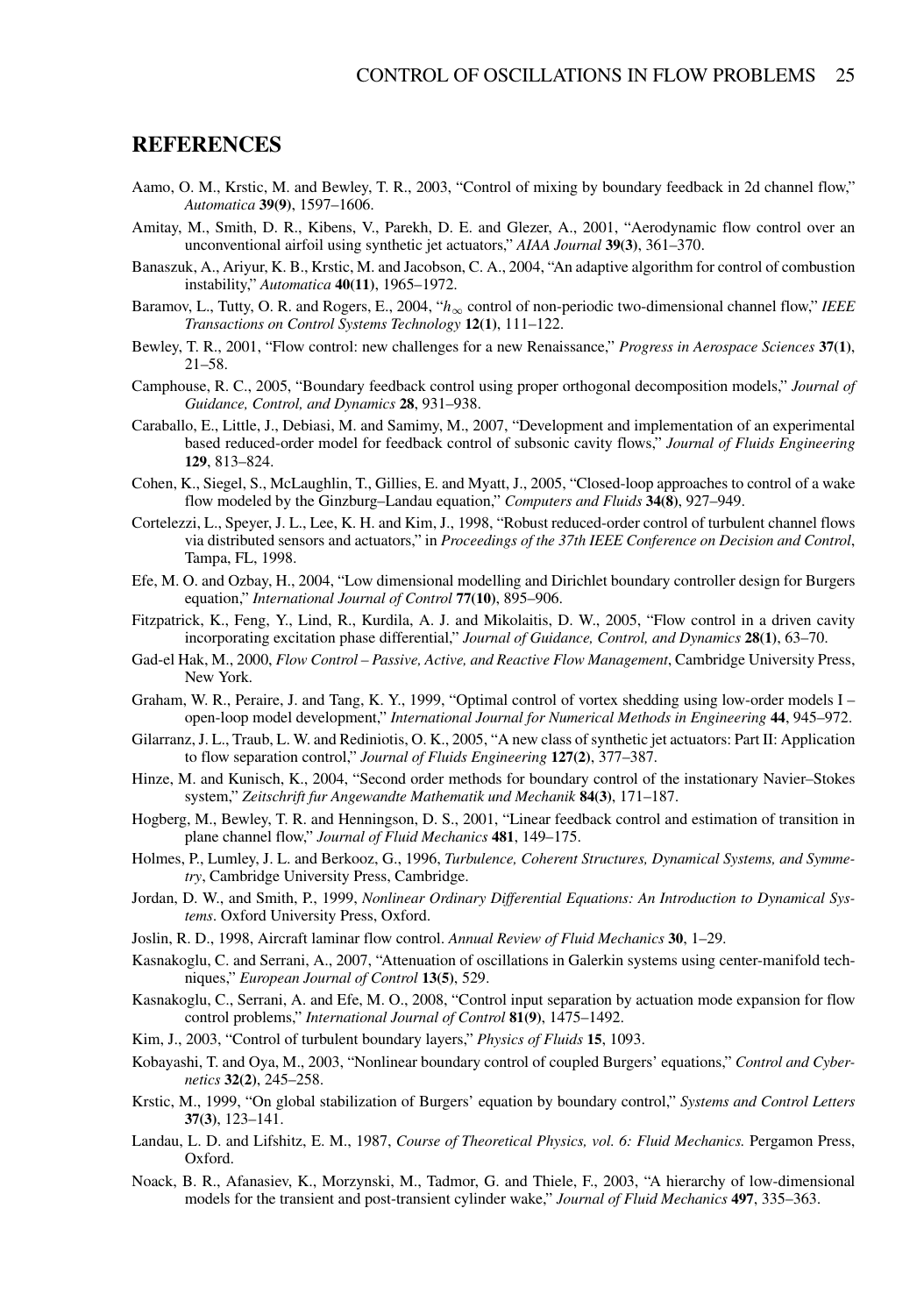#### **REFERENCES**

- Aamo, O. M., Krstic, M. and Bewley, T. R., 2003, "Control of mixing by boundary feedback in 2d channel flow," *Automatica* **39(9)**, 1597–1606.
- Amitay, M., Smith, D. R., Kibens, V., Parekh, D. E. and Glezer, A., 2001, "Aerodynamic flow control over an unconventional airfoil using synthetic jet actuators," *AIAA Journal* **39(3)**, 361–370.
- Banaszuk, A., Ariyur, K. B., Krstic, M. and Jacobson, C. A., 2004, "An adaptive algorithm for control of combustion instability," *Automatica* **40(11)**, 1965–1972.
- Baramov, L., Tutty, O. R. and Rogers, E., 2004, "*h*<sub>∞</sub> control of non-periodic two-dimensional channel flow," *IEEE Transactions on Control Systems Technology* **12(1)**, 111–122.
- Bewley, T. R., 2001, "Flow control: new challenges for a new Renaissance," *Progress in Aerospace Sciences* **37(1)**, 21–58.
- Camphouse, R. C., 2005, "Boundary feedback control using proper orthogonal decomposition models," *Journal of Guidance, Control, and Dynamics* **28**, 931–938.
- Caraballo, E., Little, J., Debiasi, M. and Samimy, M., 2007, "Development and implementation of an experimental based reduced-order model for feedback control of subsonic cavity flows," *Journal of Fluids Engineering* **129**, 813–824.
- Cohen, K., Siegel, S., McLaughlin, T., Gillies, E. and Myatt, J., 2005, "Closed-loop approaches to control of a wake flow modeled by the Ginzburg–Landau equation," *Computers and Fluids* **34(8)**, 927–949.
- Cortelezzi, L., Speyer, J. L., Lee, K. H. and Kim, J., 1998, "Robust reduced-order control of turbulent channel flows via distributed sensors and actuators," in *Proceedings of the 37th IEEE Conference on Decision and Control*, Tampa, FL, 1998.
- Efe, M. O. and Ozbay, H., 2004, "Low dimensional modelling and Dirichlet boundary controller design for Burgers equation," *International Journal of Control* **77(10)**, 895–906.
- Fitzpatrick, K., Feng, Y., Lind, R., Kurdila, A. J. and Mikolaitis, D. W., 2005, "Flow control in a driven cavity incorporating excitation phase differential," *Journal of Guidance, Control, and Dynamics* **28(1)**, 63–70.
- Gad-el Hak, M., 2000, *Flow Control Passive, Active, and Reactive Flow Management*, Cambridge University Press, New York.
- Graham, W. R., Peraire, J. and Tang, K. Y., 1999, "Optimal control of vortex shedding using low-order models I open-loop model development," *International Journal for Numerical Methods in Engineering* **44**, 945–972.
- Gilarranz, J. L., Traub, L. W. and Rediniotis, O. K., 2005, "A new class of synthetic jet actuators: Part II: Application to flow separation control," *Journal of Fluids Engineering* **127(2)**, 377–387.
- Hinze, M. and Kunisch, K., 2004, "Second order methods for boundary control of the instationary Navier–Stokes system," *Zeitschrift fur Angewandte Mathematik und Mechanik* **84(3)**, 171–187.
- Hogberg, M., Bewley, T. R. and Henningson, D. S., 2001, "Linear feedback control and estimation of transition in plane channel flow," *Journal of Fluid Mechanics* **481**, 149–175.
- Holmes, P., Lumley, J. L. and Berkooz, G., 1996, *Turbulence, Coherent Structures, Dynamical Systems, and Symmetry*, Cambridge University Press, Cambridge.
- Jordan, D. W., and Smith, P., 1999, *Nonlinear Ordinary Differential Equations: An Introduction to Dynamical Systems*. Oxford University Press, Oxford.
- Joslin, R. D., 1998, Aircraft laminar flow control. *Annual Review of Fluid Mechanics* **30**, 1–29.
- Kasnakoglu, C. and Serrani, A., 2007, "Attenuation of oscillations in Galerkin systems using center-manifold techniques," *European Journal of Control* **13(5)**, 529.
- Kasnakoglu, C., Serrani, A. and Efe, M. O., 2008, "Control input separation by actuation mode expansion for flow control problems," *International Journal of Control* **81(9)**, 1475–1492.
- Kim, J., 2003, "Control of turbulent boundary layers," *Physics of Fluids* **15**, 1093.
- Kobayashi, T. and Oya, M., 2003, "Nonlinear boundary control of coupled Burgers' equations," *Control and Cybernetics* **32(2)**, 245–258.
- Krstic, M., 1999, "On global stabilization of Burgers' equation by boundary control," *Systems and Control Letters* **37(3)**, 123–141.
- Landau, L. D. and Lifshitz, E. M., 1987, *Course of Theoretical Physics, vol. 6: Fluid Mechanics.* Pergamon Press, Oxford.
- Noack, B. R., Afanasiev, K., Morzynski, M., Tadmor, G. and Thiele, F., 2003, "A hierarchy of low-dimensional models for the transient and post-transient cylinder wake," *Journal of Fluid Mechanics* **497**, 335–363.